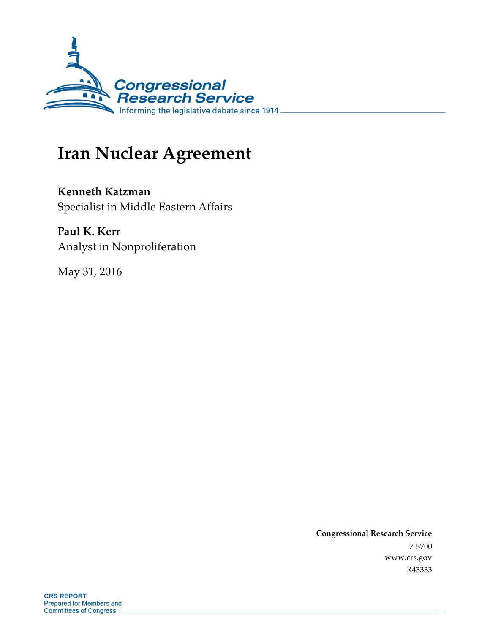

# **Iran Nuclear Agreement**

**Kenneth Katzman** Specialist in Middle Eastern Affairs

**Paul K. Kerr** Analyst in Nonproliferation

May 31, 2016

**Congressional Research Service** 7-5700 www.crs.gov R43333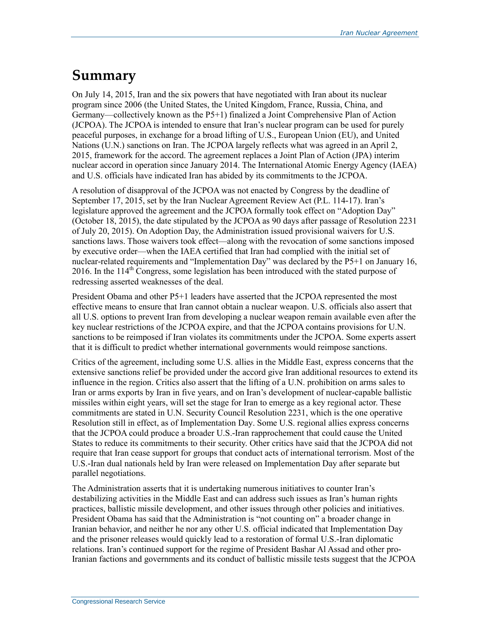## **Summary**

On July 14, 2015, Iran and the six powers that have negotiated with Iran about its nuclear program since 2006 (the United States, the United Kingdom, France, Russia, China, and Germany—collectively known as the P5+1) finalized a Joint Comprehensive Plan of Action (JCPOA). The JCPOA is intended to ensure that Iran's nuclear program can be used for purely peaceful purposes, in exchange for a broad lifting of U.S., European Union (EU), and United Nations (U.N.) sanctions on Iran. The JCPOA largely reflects what was agreed in an April 2, 2015, framework for the accord. The agreement replaces a Joint Plan of Action (JPA) interim nuclear accord in operation since January 2014. The International Atomic Energy Agency (IAEA) and U.S. officials have indicated Iran has abided by its commitments to the JCPOA.

A resolution of disapproval of the JCPOA was not enacted by Congress by the deadline of September 17, 2015, set by the Iran Nuclear Agreement Review Act (P.L. 114-17). Iran's legislature approved the agreement and the JCPOA formally took effect on "Adoption Day" (October 18, 2015), the date stipulated by the JCPOA as 90 days after passage of Resolution 2231 of July 20, 2015). On Adoption Day, the Administration issued provisional waivers for U.S. sanctions laws. Those waivers took effect—along with the revocation of some sanctions imposed by executive order—when the IAEA certified that Iran had complied with the initial set of nuclear-related requirements and "Implementation Day" was declared by the P5+1 on January 16, 2016. In the  $114<sup>th</sup>$  Congress, some legislation has been introduced with the stated purpose of redressing asserted weaknesses of the deal.

President Obama and other P5+1 leaders have asserted that the JCPOA represented the most effective means to ensure that Iran cannot obtain a nuclear weapon. U.S. officials also assert that all U.S. options to prevent Iran from developing a nuclear weapon remain available even after the key nuclear restrictions of the JCPOA expire, and that the JCPOA contains provisions for U.N. sanctions to be reimposed if Iran violates its commitments under the JCPOA. Some experts assert that it is difficult to predict whether international governments would reimpose sanctions.

Critics of the agreement, including some U.S. allies in the Middle East, express concerns that the extensive sanctions relief be provided under the accord give Iran additional resources to extend its influence in the region. Critics also assert that the lifting of a U.N. prohibition on arms sales to Iran or arms exports by Iran in five years, and on Iran's development of nuclear-capable ballistic missiles within eight years, will set the stage for Iran to emerge as a key regional actor. These commitments are stated in U.N. Security Council Resolution 2231, which is the one operative Resolution still in effect, as of Implementation Day. Some U.S. regional allies express concerns that the JCPOA could produce a broader U.S.-Iran rapprochement that could cause the United States to reduce its commitments to their security. Other critics have said that the JCPOA did not require that Iran cease support for groups that conduct acts of international terrorism. Most of the U.S.-Iran dual nationals held by Iran were released on Implementation Day after separate but parallel negotiations.

The Administration asserts that it is undertaking numerous initiatives to counter Iran's destabilizing activities in the Middle East and can address such issues as Iran's human rights practices, ballistic missile development, and other issues through other policies and initiatives. President Obama has said that the Administration is "not counting on" a broader change in Iranian behavior, and neither he nor any other U.S. official indicated that Implementation Day and the prisoner releases would quickly lead to a restoration of formal U.S.-Iran diplomatic relations. Iran's continued support for the regime of President Bashar Al Assad and other pro-Iranian factions and governments and its conduct of ballistic missile tests suggest that the JCPOA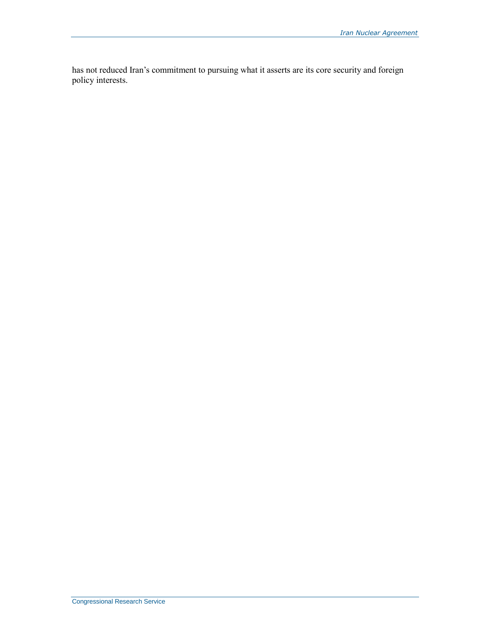has not reduced Iran's commitment to pursuing what it asserts are its core security and foreign policy interests.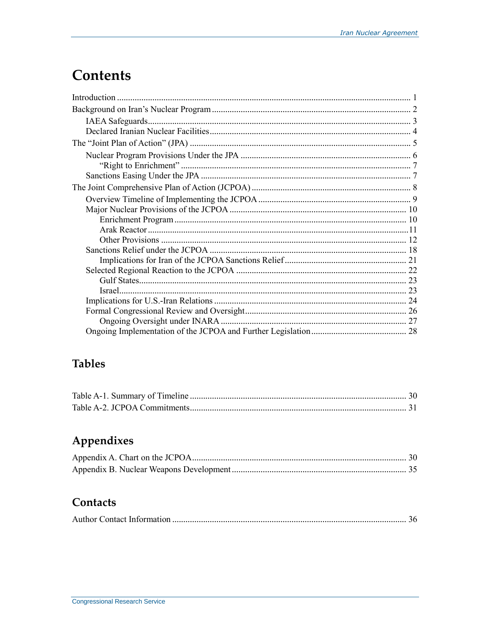# **Contents**

## **Tables**

## Appendixes

## Contacts

|--|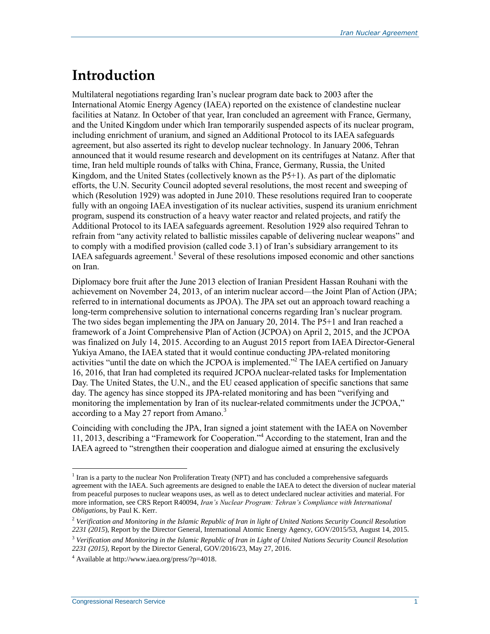# **Introduction**

Multilateral negotiations regarding Iran's nuclear program date back to 2003 after the International Atomic Energy Agency (IAEA) reported on the existence of clandestine nuclear facilities at Natanz. In October of that year, Iran concluded an agreement with France, Germany, and the United Kingdom under which Iran temporarily suspended aspects of its nuclear program, including enrichment of uranium, and signed an Additional Protocol to its IAEA safeguards agreement, but also asserted its right to develop nuclear technology. In January 2006, Tehran announced that it would resume research and development on its centrifuges at Natanz. After that time, Iran held multiple rounds of talks with China, France, Germany, Russia, the United Kingdom, and the United States (collectively known as the P5+1). As part of the diplomatic efforts, the U.N. Security Council adopted several resolutions, the most recent and sweeping of which (Resolution 1929) was adopted in June 2010. These resolutions required Iran to cooperate fully with an ongoing IAEA investigation of its nuclear activities, suspend its uranium enrichment program, suspend its construction of a heavy water reactor and related projects, and ratify the Additional Protocol to its IAEA safeguards agreement. Resolution 1929 also required Tehran to refrain from "any activity related to ballistic missiles capable of delivering nuclear weapons" and to comply with a modified provision (called code 3.1) of Iran's subsidiary arrangement to its IAEA safeguards agreement.<sup>1</sup> Several of these resolutions imposed economic and other sanctions on Iran.

Diplomacy bore fruit after the June 2013 election of Iranian President Hassan Rouhani with the achievement on November 24, 2013, of an interim nuclear accord—the Joint Plan of Action (JPA; referred to in international documents as JPOA). The JPA set out an approach toward reaching a long-term comprehensive solution to international concerns regarding Iran's nuclear program. The two sides began implementing the JPA on January 20, 2014. The P5+1 and Iran reached a framework of a Joint Comprehensive Plan of Action (JCPOA) on April 2, 2015, and the JCPOA was finalized on July 14, 2015. According to an August 2015 report from IAEA Director-General Yukiya Amano, the IAEA stated that it would continue conducting JPA-related monitoring activities "until the date on which the JCPOA is implemented."<sup>2</sup> The IAEA certified on January 16, 2016, that Iran had completed its required JCPOA nuclear-related tasks for Implementation Day. The United States, the U.N., and the EU ceased application of specific sanctions that same day. The agency has since stopped its JPA-related monitoring and has been "verifying and monitoring the implementation by Iran of its nuclear-related commitments under the JCPOA," according to a May 27 report from Amano.<sup>3</sup>

Coinciding with concluding the JPA, Iran signed a joint statement with the IAEA on November 11, 2013, describing a "Framework for Cooperation."<sup>4</sup> According to the statement, Iran and the IAEA agreed to "strengthen their cooperation and dialogue aimed at ensuring the exclusively

<sup>&</sup>lt;sup>1</sup> Iran is a party to the nuclear Non Proliferation Treaty (NPT) and has concluded a comprehensive safeguards agreement with the IAEA. Such agreements are designed to enable the IAEA to detect the diversion of nuclear material from peaceful purposes to nuclear weapons uses, as well as to detect undeclared nuclear activities and material. For more information, see CRS Report R40094, *Iran's Nuclear Program: Tehran's Compliance with International Obligations*, by Paul K. Kerr.

<sup>2</sup> *Verification and Monitoring in the Islamic Republic of Iran in light of United Nations Security Council Resolution 2231 (2015*), Report by the Director General, International Atomic Energy Agency, GOV/2015/53, August 14, 2015.

<sup>3</sup> *Verification and Monitoring in the Islamic Republic of Iran in Light of United Nations Security Council Resolution 2231 (2015)*, Report by the Director General, GOV/2016/23, May 27, 2016.

 $4$  Available at http://www.iaea.org/press/?p=4018.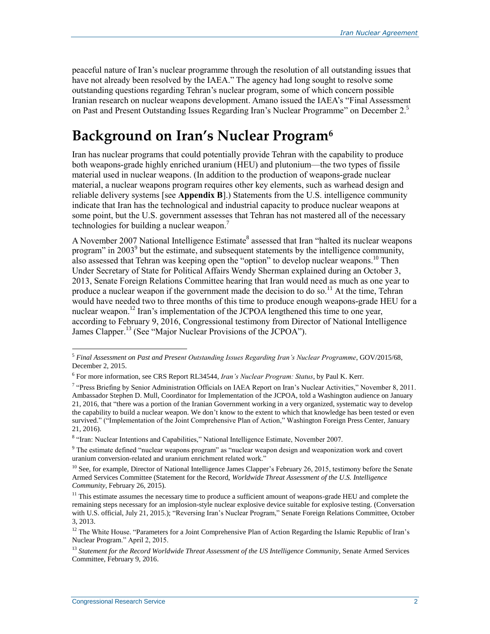peaceful nature of Iran's nuclear programme through the resolution of all outstanding issues that have not already been resolved by the IAEA." The agency had long sought to resolve some outstanding questions regarding Tehran's nuclear program, some of which concern possible Iranian research on nuclear weapons development. Amano issued the IAEA's "Final Assessment on Past and Present Outstanding Issues Regarding Iran's Nuclear Programme" on December 2.<sup>5</sup>

## **Background on Iran's Nuclear Program<sup>6</sup>**

Iran has nuclear programs that could potentially provide Tehran with the capability to produce both weapons-grade highly enriched uranium (HEU) and plutonium—the two types of fissile material used in nuclear weapons. (In addition to the production of weapons-grade nuclear material, a nuclear weapons program requires other key elements, such as warhead design and reliable delivery systems [see **[Appendix B](#page-38-0)**].) Statements from the U.S. intelligence community indicate that Iran has the technological and industrial capacity to produce nuclear weapons at some point, but the U.S. government assesses that Tehran has not mastered all of the necessary technologies for building a nuclear weapon.<sup>7</sup>

A November 2007 National Intelligence Estimate<sup>8</sup> assessed that Iran "halted its nuclear weapons program" in  $2003^9$  but the estimate, and subsequent statements by the intelligence community, also assessed that Tehran was keeping open the "option" to develop nuclear weapons.<sup>10</sup> Then Under Secretary of State for Political Affairs Wendy Sherman explained during an October 3, 2013, Senate Foreign Relations Committee hearing that Iran would need as much as one year to produce a nuclear weapon if the government made the decision to do so.<sup>11</sup> At the time, Tehran would have needed two to three months of this time to produce enough weapons-grade HEU for a nuclear weapon.<sup>12</sup> Iran's implementation of the JCPOA lengthened this time to one year, according to February 9, 2016, Congressional testimony from Director of National Intelligence James Clapper. <sup>13</sup> (See "Major Nuclear Provisions of the JCPOA").

<sup>5</sup> *Final Assessment on Past and Present Outstanding Issues Regarding Iran's Nuclear Programme*, GOV/2015/68, December 2, 2015.

<sup>6</sup> For more information, see CRS Report RL34544, *Iran's Nuclear Program: Status*, by Paul K. Kerr.

<sup>&</sup>lt;sup>7</sup> "Press Briefing by Senior Administration Officials on IAEA Report on Iran's Nuclear Activities," November 8, 2011. Ambassador Stephen D. Mull, Coordinator for Implementation of the JCPOA, told a Washington audience on January 21, 2016, that "there was a portion of the Iranian Government working in a very organized, systematic way to develop the capability to build a nuclear weapon. We don't know to the extent to which that knowledge has been tested or even survived." ("Implementation of the Joint Comprehensive Plan of Action," Washington Foreign Press Center, January 21, 2016).

<sup>&</sup>lt;sup>8</sup> "Iran: Nuclear Intentions and Capabilities," National Intelligence Estimate, November 2007.

<sup>&</sup>lt;sup>9</sup> The estimate defined "nuclear weapons program" as "nuclear weapon design and weaponization work and covert uranium conversion-related and uranium enrichment related work."

<sup>&</sup>lt;sup>10</sup> See, for example, Director of National Intelligence James Clapper's February 26, 2015, testimony before the Senate Armed Services Committee (Statement for the Record, *Worldwide Threat Assessment of the U.S. Intelligence Community*, February 26, 2015).

<sup>&</sup>lt;sup>11</sup> This estimate assumes the necessary time to produce a sufficient amount of weapons-grade HEU and complete the remaining steps necessary for an implosion-style nuclear explosive device suitable for explosive testing. (Conversation with U.S. official, July 21, 2015.); "Reversing Iran's Nuclear Program," Senate Foreign Relations Committee, October 3, 2013.

<sup>&</sup>lt;sup>12</sup> The White House. "Parameters for a Joint Comprehensive Plan of Action Regarding the Islamic Republic of Iran's Nuclear Program." April 2, 2015.

<sup>&</sup>lt;sup>13</sup> Statement for the Record Worldwide Threat Assessment of the US Intelligence Community, Senate Armed Services Committee, February 9, 2016.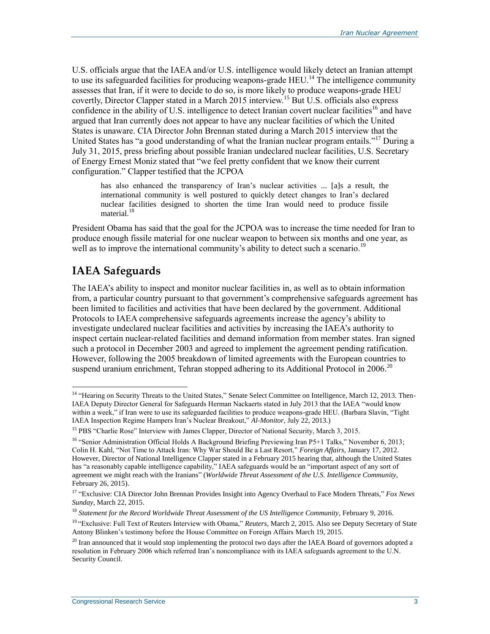U.S. officials argue that the IAEA and/or U.S. intelligence would likely detect an Iranian attempt to use its safeguarded facilities for producing weapons-grade HEU.<sup>14</sup> The intelligence community assesses that Iran, if it were to decide to do so, is more likely to produce weapons-grade HEU covertly, Director Clapper stated in a March 2015 interview.<sup>15</sup> But U.S. officials also express confidence in the ability of U.S. intelligence to detect Iranian covert nuclear facilities<sup>16</sup> and have argued that Iran currently does not appear to have any nuclear facilities of which the United States is unaware. CIA Director John Brennan stated during a March 2015 interview that the United States has "a good understanding of what the Iranian nuclear program entails."<sup>17</sup> During a July 31, 2015, press briefing about possible Iranian undeclared nuclear facilities, U.S. Secretary of Energy Ernest Moniz stated that "we feel pretty confident that we know their current configuration." Clapper testified that the JCPOA

has also enhanced the transparency of Iran's nuclear activities ... [a]s a result, the international community is well postured to quickly detect changes to Iran's declared nuclear facilities designed to shorten the time Iran would need to produce fissile material.<sup>18</sup>

President Obama has said that the goal for the JCPOA was to increase the time needed for Iran to produce enough fissile material for one nuclear weapon to between six months and one year, as well as to improve the international community's ability to detect such a scenario.<sup>19</sup>

## **IAEA Safeguards**

 $\overline{a}$ 

The IAEA's ability to inspect and monitor nuclear facilities in, as well as to obtain information from, a particular country pursuant to that government's comprehensive safeguards agreement has been limited to facilities and activities that have been declared by the government. Additional Protocols to IAEA comprehensive safeguards agreements increase the agency's ability to investigate undeclared nuclear facilities and activities by increasing the IAEA's authority to inspect certain nuclear-related facilities and demand information from member states. Iran signed such a protocol in December 2003 and agreed to implement the agreement pending ratification. However, following the 2005 breakdown of limited agreements with the European countries to suspend uranium enrichment, Tehran stopped adhering to its Additional Protocol in 2006.<sup>20</sup>

<sup>&</sup>lt;sup>14</sup> "Hearing on Security Threats to the United States," Senate Select Committee on Intelligence, March 12, 2013. Then-IAEA Deputy Director General for Safeguards Herman Nackaerts stated in July 2013 that the IAEA "would know within a week," if Iran were to use its safeguarded facilities to produce weapons-grade HEU. (Barbara Slavin, "Tight IAEA Inspection Regime Hampers Iran's Nuclear Breakout," *Al-Monitor*, July 22, 2013.)

<sup>&</sup>lt;sup>15</sup> PBS "Charlie Rose" Interview with James Clapper, Director of National Security, March 3, 2015.

<sup>&</sup>lt;sup>16</sup> "Senior Administration Official Holds A Background Briefing Previewing Iran P5+1 Talks," November 6, 2013; Colin H. Kahl, "Not Time to Attack Iran: Why War Should Be a Last Resort," *Foreign Affairs*, January 17, 2012. However, Director of National Intelligence Clapper stated in a February 2015 hearing that, although the United States has "a reasonably capable intelligence capability," IAEA safeguards would be an "important aspect of any sort of agreement we might reach with the Iranians" (*Worldwide Threat Assessment of the U.S. Intelligence Community*, February 26, 2015).

<sup>17</sup> "Exclusive: CIA Director John Brennan Provides Insight into Agency Overhaul to Face Modern Threats," *Fox News Sunday*, March 22, 2015.

<sup>18</sup> *Statement for the Record Worldwide Threat Assessment of the US Intelligence Community*, February 9, 2016.

<sup>&</sup>lt;sup>19</sup> "Exclusive: Full Text of Reuters Interview with Obama," *Reuters*, March 2, 2015. Also see Deputy Secretary of State Antony Blinken's testimony before the House Committee on Foreign Affairs March 19, 2015.

 $20$  Iran announced that it would stop implementing the protocol two days after the IAEA Board of governors adopted a resolution in February 2006 which referred Iran's noncompliance with its IAEA safeguards agreement to the U.N. Security Council.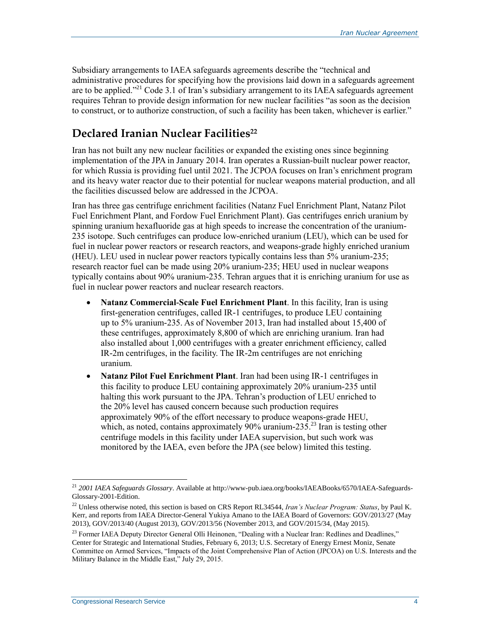Subsidiary arrangements to IAEA safeguards agreements describe the "technical and administrative procedures for specifying how the provisions laid down in a safeguards agreement are to be applied."<sup>21</sup> Code 3.1 of Iran's subsidiary arrangement to its IAEA safeguards agreement requires Tehran to provide design information for new nuclear facilities "as soon as the decision to construct, or to authorize construction, of such a facility has been taken, whichever is earlier."

## **Declared Iranian Nuclear Facilities<sup>22</sup>**

Iran has not built any new nuclear facilities or expanded the existing ones since beginning implementation of the JPA in January 2014. Iran operates a Russian-built nuclear power reactor, for which Russia is providing fuel until 2021. The JCPOA focuses on Iran's enrichment program and its heavy water reactor due to their potential for nuclear weapons material production, and all the facilities discussed below are addressed in the JCPOA.

Iran has three gas centrifuge enrichment facilities (Natanz Fuel Enrichment Plant, Natanz Pilot Fuel Enrichment Plant, and Fordow Fuel Enrichment Plant). Gas centrifuges enrich uranium by spinning uranium hexafluoride gas at high speeds to increase the concentration of the uranium-235 isotope. Such centrifuges can produce low-enriched uranium (LEU), which can be used for fuel in nuclear power reactors or research reactors, and weapons-grade highly enriched uranium (HEU). LEU used in nuclear power reactors typically contains less than 5% uranium-235; research reactor fuel can be made using 20% uranium-235; HEU used in nuclear weapons typically contains about 90% uranium-235. Tehran argues that it is enriching uranium for use as fuel in nuclear power reactors and nuclear research reactors.

- **Natanz Commercial-Scale Fuel Enrichment Plant**. In this facility, Iran is using first-generation centrifuges, called IR-1 centrifuges, to produce LEU containing up to 5% uranium-235. As of November 2013, Iran had installed about 15,400 of these centrifuges, approximately 8,800 of which are enriching uranium. Iran had also installed about 1,000 centrifuges with a greater enrichment efficiency, called IR-2m centrifuges, in the facility. The IR-2m centrifuges are not enriching uranium.
- **Natanz Pilot Fuel Enrichment Plant**. Iran had been using IR-1 centrifuges in this facility to produce LEU containing approximately 20% uranium-235 until halting this work pursuant to the JPA. Tehran's production of LEU enriched to the 20% level has caused concern because such production requires approximately 90% of the effort necessary to produce weapons-grade HEU, which, as noted, contains approximately  $90\%$  uranium-235.<sup>23</sup> Iran is testing other centrifuge models in this facility under IAEA supervision, but such work was monitored by the IAEA, even before the JPA (see below) limited this testing.

<sup>21</sup> *2001 IAEA Safeguards Glossary*. Available at http://www-pub.iaea.org/books/IAEABooks/6570/IAEA-Safeguards-Glossary-2001-Edition.

<sup>22</sup> Unless otherwise noted, this section is based on CRS Report RL34544, *Iran's Nuclear Program: Status*, by Paul K. Kerr, and reports from IAEA Director-General Yukiya Amano to the IAEA Board of Governors: GOV/2013/27 (May 2013), GOV/2013/40 (August 2013), GOV/2013/56 (November 2013, and GOV/2015/34, (May 2015).

<sup>&</sup>lt;sup>23</sup> Former IAEA Deputy Director General Olli Heinonen, "Dealing with a Nuclear Iran: Redlines and Deadlines," Center for Strategic and International Studies, February 6, 2013; U.S. Secretary of Energy Ernest Moniz, Senate Committee on Armed Services, "Impacts of the Joint Comprehensive Plan of Action (JPCOA) on U.S. Interests and the Military Balance in the Middle East," July 29, 2015.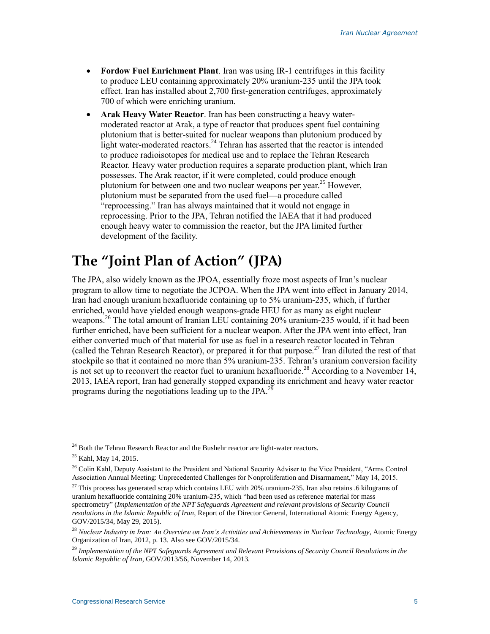- **Fordow Fuel Enrichment Plant**. Iran was using IR-1 centrifuges in this facility to produce LEU containing approximately 20% uranium-235 until the JPA took effect. Iran has installed about 2,700 first-generation centrifuges, approximately 700 of which were enriching uranium.
- **Arak Heavy Water Reactor**. Iran has been constructing a heavy watermoderated reactor at Arak, a type of reactor that produces spent fuel containing plutonium that is better-suited for nuclear weapons than plutonium produced by light water-moderated reactors.<sup>24</sup> Tehran has asserted that the reactor is intended to produce radioisotopes for medical use and to replace the Tehran Research Reactor. Heavy water production requires a separate production plant, which Iran possesses. The Arak reactor, if it were completed, could produce enough plutonium for between one and two nuclear weapons per year.<sup>25</sup> However, plutonium must be separated from the used fuel—a procedure called "reprocessing." Iran has always maintained that it would not engage in reprocessing. Prior to the JPA, Tehran notified the IAEA that it had produced enough heavy water to commission the reactor, but the JPA limited further development of the facility.

## **The "Joint Plan of Action" (JPA)**

The JPA, also widely known as the JPOA, essentially froze most aspects of Iran's nuclear program to allow time to negotiate the JCPOA. When the JPA went into effect in January 2014, Iran had enough uranium hexafluoride containing up to 5% uranium-235, which, if further enriched, would have yielded enough weapons-grade HEU for as many as eight nuclear weapons.<sup>26</sup> The total amount of Iranian LEU containing 20% uranium-235 would, if it had been further enriched, have been sufficient for a nuclear weapon. After the JPA went into effect, Iran either converted much of that material for use as fuel in a research reactor located in Tehran (called the Tehran Research Reactor), or prepared it for that purpose.<sup>27</sup> Iran diluted the rest of that stockpile so that it contained no more than 5% uranium-235. Tehran's uranium conversion facility is not set up to reconvert the reactor fuel to uranium hexafluoride.<sup>28</sup> According to a November 14, 2013, IAEA report, Iran had generally stopped expanding its enrichment and heavy water reactor programs during the negotiations leading up to the JPA.<sup>29</sup>

 $24$  Both the Tehran Research Reactor and the Bushehr reactor are light-water reactors.

<sup>25</sup> Kahl, May 14, 2015.

<sup>&</sup>lt;sup>26</sup> Colin Kahl, Deputy Assistant to the President and National Security Adviser to the Vice President, "Arms Control" Association Annual Meeting: Unprecedented Challenges for Nonproliferation and Disarmament," May 14, 2015.

<sup>&</sup>lt;sup>27</sup> This process has generated scrap which contains LEU with 20% uranium-235. Iran also retains .6 kilograms of uranium hexafluoride containing 20% uranium-235, which "had been used as reference material for mass spectrometry" (*Implementation of the NPT Safeguards Agreement and relevant provisions of Security Council resolutions in the Islamic Republic of Iran*, Report of the Director General, International Atomic Energy Agency, GOV/2015/34, May 29, 2015).

<sup>28</sup> *Nuclear Industry in Iran: An Overview on Iran's Activities and Achievements in Nuclear Technology*, Atomic Energy Organization of Iran, 2012, p. 13. Also see GOV/2015/34.

<sup>29</sup> *Implementation of the NPT Safeguards Agreement and Relevant Provisions of Security Council Resolutions in the Islamic Republic of Iran*, GOV/2013/56, November 14, 2013.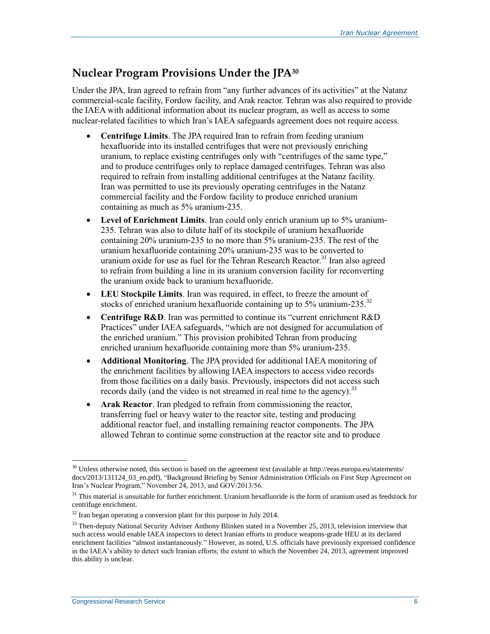### **Nuclear Program Provisions Under the JPA<sup>30</sup>**

Under the JPA, Iran agreed to refrain from "any further advances of its activities" at the Natanz commercial-scale facility, Fordow facility, and Arak reactor. Tehran was also required to provide the IAEA with additional information about its nuclear program, as well as access to some nuclear-related facilities to which Iran's IAEA safeguards agreement does not require access.

- **Centrifuge Limits**. The JPA required Iran to refrain from feeding uranium hexafluoride into its installed centrifuges that were not previously enriching uranium, to replace existing centrifuges only with "centrifuges of the same type," and to produce centrifuges only to replace damaged centrifuges. Tehran was also required to refrain from installing additional centrifuges at the Natanz facility. Iran was permitted to use its previously operating centrifuges in the Natanz commercial facility and the Fordow facility to produce enriched uranium containing as much as 5% uranium-235.
- **Level of Enrichment Limits**. Iran could only enrich uranium up to 5% uranium-235. Tehran was also to dilute half of its stockpile of uranium hexafluoride containing 20% uranium-235 to no more than 5% uranium-235. The rest of the uranium hexafluoride containing 20% uranium-235 was to be converted to uranium oxide for use as fuel for the Tehran Research Reactor.<sup>31</sup> Iran also agreed to refrain from building a line in its uranium conversion facility for reconverting the uranium oxide back to uranium hexafluoride.
- **LEU Stockpile Limits**. Iran was required, in effect, to freeze the amount of stocks of enriched uranium hexafluoride containing up to  $5\%$  uranium-235.<sup>32</sup>
- **Centrifuge R&D**. Iran was permitted to continue its "current enrichment R&D Practices" under IAEA safeguards, "which are not designed for accumulation of the enriched uranium." This provision prohibited Tehran from producing enriched uranium hexafluoride containing more than 5% uranium-235.
- **Additional Monitoring**. The JPA provided for additional IAEA monitoring of the enrichment facilities by allowing IAEA inspectors to access video records from those facilities on a daily basis. Previously, inspectors did not access such records daily (and the video is not streamed in real time to the agency).<sup>33</sup>
- **Arak Reactor**. Iran pledged to refrain from commissioning the reactor, transferring fuel or heavy water to the reactor site, testing and producing additional reactor fuel, and installing remaining reactor components. The JPA allowed Tehran to continue some construction at the reactor site and to produce

 $\overline{a}$  $30$  Unless otherwise noted, this section is based on the agreement text (available at http://eeas.europa.eu/statements/ docs/2013/131124\_03\_en.pdf), "Background Briefing by Senior Administration Officials on First Step Agreement on Iran's Nuclear Program," November 24, 2013, and GOV/2013/56.

 $31$  This material is unsuitable for further enrichment. Uranium hexafluoride is the form of uranium used as feedstock for centrifuge enrichment.

<sup>&</sup>lt;sup>32</sup> Iran began operating a conversion plant for this purpose in July 2014.

 $33$  Then-deputy National Security Adviser Anthony Blinken stated in a November 25, 2013, television interview that such access would enable IAEA inspectors to detect Iranian efforts to produce weapons-grade HEU at its declared enrichment facilities "almost instantaneously." However, as noted, U.S. officials have previously expressed confidence in the IAEA's ability to detect such Iranian efforts; the extent to which the November 24, 2013, agreement improved this ability is unclear.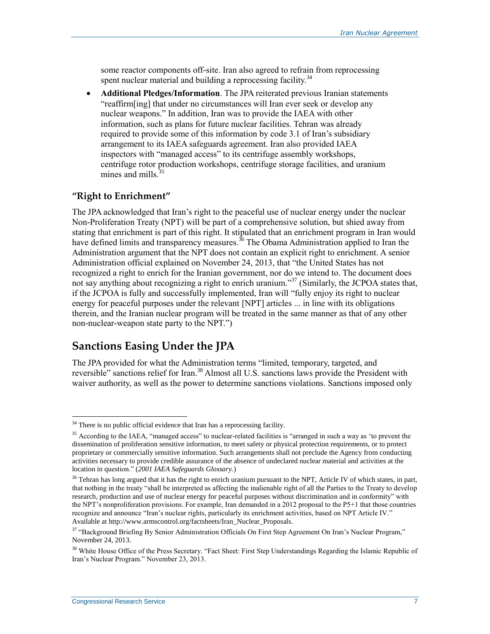some reactor components off-site. Iran also agreed to refrain from reprocessing spent nuclear material and building a reprocessing facility.<sup>34</sup>

 **Additional Pledges/Information**. The JPA reiterated previous Iranian statements "reaffirm[ing] that under no circumstances will Iran ever seek or develop any nuclear weapons." In addition, Iran was to provide the IAEA with other information, such as plans for future nuclear facilities. Tehran was already required to provide some of this information by code 3.1 of Iran's subsidiary arrangement to its IAEA safeguards agreement. Iran also provided IAEA inspectors with "managed access" to its centrifuge assembly workshops, centrifuge rotor production workshops, centrifuge storage facilities, and uranium mines and mills. $35$ 

#### **"Right to Enrichment"**

The JPA acknowledged that Iran's right to the peaceful use of nuclear energy under the nuclear Non-Proliferation Treaty (NPT) will be part of a comprehensive solution, but shied away from stating that enrichment is part of this right. It stipulated that an enrichment program in Iran would have defined limits and transparency measures.<sup>36</sup> The Obama Administration applied to Iran the Administration argument that the NPT does not contain an explicit right to enrichment. A senior Administration official explained on November 24, 2013, that "the United States has not recognized a right to enrich for the Iranian government, nor do we intend to. The document does not say anything about recognizing a right to enrich uranium."<sup>37</sup> (Similarly, the JCPOA states that, if the JCPOA is fully and successfully implemented, Iran will "fully enjoy its right to nuclear energy for peaceful purposes under the relevant [NPT] articles ... in line with its obligations therein, and the Iranian nuclear program will be treated in the same manner as that of any other non-nuclear-weapon state party to the NPT.")

### **Sanctions Easing Under the JPA**

The JPA provided for what the Administration terms "limited, temporary, targeted, and reversible" sanctions relief for Iran.<sup>38</sup> Almost all U.S. sanctions laws provide the President with waiver authority, as well as the power to determine sanctions violations. Sanctions imposed only

 $34$  There is no public official evidence that Iran has a reprocessing facility.

 $35$  According to the IAEA, "managed access" to nuclear-related facilities is "arranged in such a way as 'to prevent the dissemination of proliferation sensitive information, to meet safety or physical protection requirements, or to protect proprietary or commercially sensitive information. Such arrangements shall not preclude the Agency from conducting activities necessary to provide credible assurance of the absence of undeclared nuclear material and activities at the location in question." (*2001 IAEA Safeguards Glossary*.)

<sup>&</sup>lt;sup>36</sup> Tehran has long argued that it has the right to enrich uranium pursuant to the NPT, Article IV of which states, in part, that nothing in the treaty "shall be interpreted as affecting the inalienable right of all the Parties to the Treaty to develop research, production and use of nuclear energy for peaceful purposes without discrimination and in conformity" with the NPT's nonproliferation provisions. For example, Iran demanded in a 2012 proposal to the P5+1 that those countries recognize and announce "Iran's nuclear rights, particularly its enrichment activities, based on NPT Article IV." Available at http://www.armscontrol.org/factsheets/Iran\_Nuclear\_Proposals.

<sup>&</sup>lt;sup>37</sup> "Background Briefing By Senior Administration Officials On First Step Agreement On Iran's Nuclear Program," November 24, 2013.

<sup>&</sup>lt;sup>38</sup> White House Office of the Press Secretary. "Fact Sheet: First Step Understandings Regarding the Islamic Republic of Iran's Nuclear Program." November 23, 2013.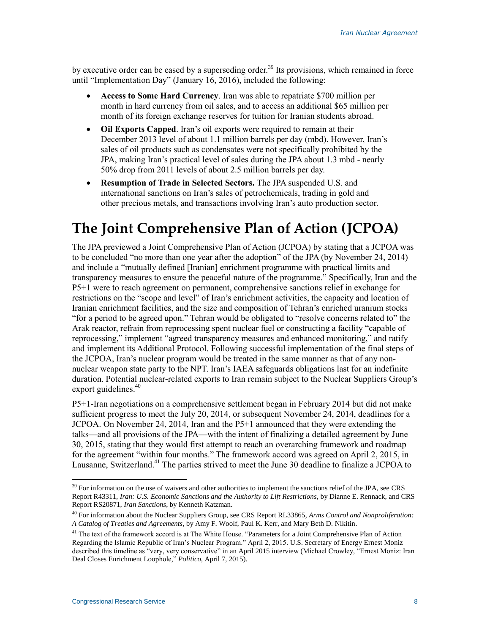by executive order can be eased by a superseding order.<sup>39</sup> Its provisions, which remained in force until "Implementation Day" (January 16, 2016), included the following:

- **Access to Some Hard Currency**. Iran was able to repatriate \$700 million per month in hard currency from oil sales, and to access an additional \$65 million per month of its foreign exchange reserves for tuition for Iranian students abroad.
- **Oil Exports Capped**. Iran's oil exports were required to remain at their December 2013 level of about 1.1 million barrels per day (mbd). However, Iran's sales of oil products such as condensates were not specifically prohibited by the JPA, making Iran's practical level of sales during the JPA about 1.3 mbd - nearly 50% drop from 2011 levels of about 2.5 million barrels per day.
- **Resumption of Trade in Selected Sectors.** The JPA suspended U.S. and international sanctions on Iran's sales of petrochemicals, trading in gold and other precious metals, and transactions involving Iran's auto production sector.

## **The Joint Comprehensive Plan of Action (JCPOA)**

The JPA previewed a Joint Comprehensive Plan of Action (JCPOA) by stating that a JCPOA was to be concluded "no more than one year after the adoption" of the JPA (by November 24, 2014) and include a "mutually defined [Iranian] enrichment programme with practical limits and transparency measures to ensure the peaceful nature of the programme." Specifically, Iran and the P5+1 were to reach agreement on permanent, comprehensive sanctions relief in exchange for restrictions on the "scope and level" of Iran's enrichment activities, the capacity and location of Iranian enrichment facilities, and the size and composition of Tehran's enriched uranium stocks "for a period to be agreed upon." Tehran would be obligated to "resolve concerns related to" the Arak reactor, refrain from reprocessing spent nuclear fuel or constructing a facility "capable of reprocessing," implement "agreed transparency measures and enhanced monitoring," and ratify and implement its Additional Protocol. Following successful implementation of the final steps of the JCPOA, Iran's nuclear program would be treated in the same manner as that of any nonnuclear weapon state party to the NPT. Iran's IAEA safeguards obligations last for an indefinite duration. Potential nuclear-related exports to Iran remain subject to the Nuclear Suppliers Group's export guidelines. 40

P5+1-Iran negotiations on a comprehensive settlement began in February 2014 but did not make sufficient progress to meet the July 20, 2014, or subsequent November 24, 2014, deadlines for a JCPOA. On November 24, 2014, Iran and the P5+1 announced that they were extending the talks—and all provisions of the JPA—with the intent of finalizing a detailed agreement by June 30, 2015, stating that they would first attempt to reach an overarching framework and roadmap for the agreement "within four months." The framework accord was agreed on April 2, 2015, in Lausanne, Switzerland.<sup>41</sup> The parties strived to meet the June 30 deadline to finalize a JCPOA to

<sup>&</sup>lt;sup>39</sup> For information on the use of waivers and other authorities to implement the sanctions relief of the JPA, see CRS Report R43311, *Iran: U.S. Economic Sanctions and the Authority to Lift Restrictions*, by Dianne E. Rennack, and CRS Report RS20871, *Iran Sanctions*, by Kenneth Katzman.

<sup>40</sup> For information about the Nuclear Suppliers Group, see CRS Report RL33865, *Arms Control and Nonproliferation: A Catalog of Treaties and Agreements*, by Amy F. Woolf, Paul K. Kerr, and Mary Beth D. Nikitin.

<sup>&</sup>lt;sup>41</sup> The text of the framework accord is at The White House. "Parameters for a Joint Comprehensive Plan of Action Regarding the Islamic Republic of Iran's Nuclear Program." April 2, 2015. U.S. Secretary of Energy Ernest Moniz described this timeline as "very, very conservative" in an April 2015 interview (Michael Crowley, "Ernest Moniz: Iran Deal Closes Enrichment Loophole," *Politico,* April 7, 2015).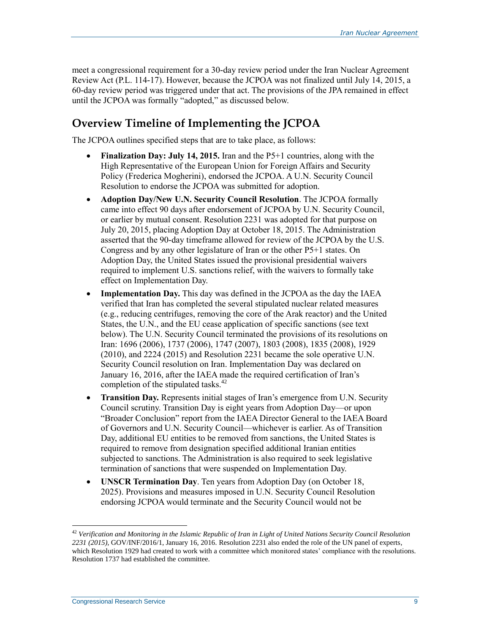meet a congressional requirement for a 30-day review period under the Iran Nuclear Agreement Review Act (P.L. 114-17). However, because the JCPOA was not finalized until July 14, 2015, a 60-day review period was triggered under that act. The provisions of the JPA remained in effect until the JCPOA was formally "adopted," as discussed below.

### **Overview Timeline of Implementing the JCPOA**

The JCPOA outlines specified steps that are to take place, as follows:

- **Finalization Day: July 14, 2015.** Iran and the P5+1 countries, along with the High Representative of the European Union for Foreign Affairs and Security Policy (Frederica Mogherini), endorsed the JCPOA. A U.N. Security Council Resolution to endorse the JCPOA was submitted for adoption.
- **Adoption Day/New U.N. Security Council Resolution**. The JCPOA formally came into effect 90 days after endorsement of JCPOA by U.N. Security Council, or earlier by mutual consent. Resolution 2231 was adopted for that purpose on July 20, 2015, placing Adoption Day at October 18, 2015. The Administration asserted that the 90-day timeframe allowed for review of the JCPOA by the U.S. Congress and by any other legislature of Iran or the other P5+1 states. On Adoption Day, the United States issued the provisional presidential waivers required to implement U.S. sanctions relief, with the waivers to formally take effect on Implementation Day.
- **Implementation Day.** This day was defined in the JCPOA as the day the IAEA verified that Iran has completed the several stipulated nuclear related measures (e.g., reducing centrifuges, removing the core of the Arak reactor) and the United States, the U.N., and the EU cease application of specific sanctions (see text below). The U.N. Security Council terminated the provisions of its resolutions on Iran: 1696 (2006), 1737 (2006), 1747 (2007), 1803 (2008), 1835 (2008), 1929 (2010), and 2224 (2015) and Resolution 2231 became the sole operative U.N. Security Council resolution on Iran. Implementation Day was declared on January 16, 2016, after the IAEA made the required certification of Iran's completion of the stipulated tasks.<sup>42</sup>
- **Transition Day.** Represents initial stages of Iran's emergence from U.N. Security Council scrutiny. Transition Day is eight years from Adoption Day—or upon "Broader Conclusion" report from the IAEA Director General to the IAEA Board of Governors and U.N. Security Council—whichever is earlier. As of Transition Day, additional EU entities to be removed from sanctions, the United States is required to remove from designation specified additional Iranian entities subjected to sanctions. The Administration is also required to seek legislative termination of sanctions that were suspended on Implementation Day.
- **UNSCR Termination Day**. Ten years from Adoption Day (on October 18, 2025). Provisions and measures imposed in U.N. Security Council Resolution endorsing JCPOA would terminate and the Security Council would not be

<sup>42</sup> *Verification and Monitoring in the Islamic Republic of Iran in Light of United Nations Security Council Resolution 2231 (2015),* GOV/INF/2016/1, January 16, 2016. Resolution 2231 also ended the role of the UN panel of experts, which Resolution 1929 had created to work with a committee which monitored states' compliance with the resolutions. Resolution 1737 had established the committee.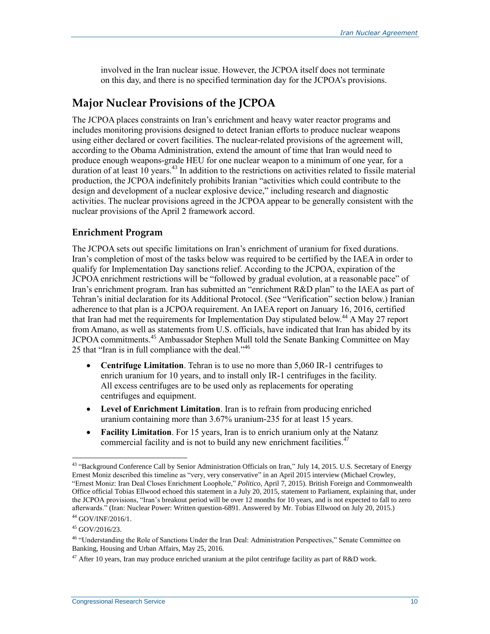involved in the Iran nuclear issue. However, the JCPOA itself does not terminate on this day, and there is no specified termination day for the JCPOA's provisions.

## **Major Nuclear Provisions of the JCPOA**

The JCPOA places constraints on Iran's enrichment and heavy water reactor programs and includes monitoring provisions designed to detect Iranian efforts to produce nuclear weapons using either declared or covert facilities. The nuclear-related provisions of the agreement will, according to the Obama Administration, extend the amount of time that Iran would need to produce enough weapons-grade HEU for one nuclear weapon to a minimum of one year, for a duration of at least 10 years.<sup>43</sup> In addition to the restrictions on activities related to fissile material production, the JCPOA indefinitely prohibits Iranian "activities which could contribute to the design and development of a nuclear explosive device," including research and diagnostic activities. The nuclear provisions agreed in the JCPOA appear to be generally consistent with the nuclear provisions of the April 2 framework accord.

#### **Enrichment Program**

The JCPOA sets out specific limitations on Iran's enrichment of uranium for fixed durations. Iran's completion of most of the tasks below was required to be certified by the IAEA in order to qualify for Implementation Day sanctions relief. According to the JCPOA, expiration of the JCPOA enrichment restrictions will be "followed by gradual evolution, at a reasonable pace" of Iran's enrichment program. Iran has submitted an "enrichment R&D plan" to the IAEA as part of Tehran's initial declaration for its Additional Protocol. (See ["Verification"](#page-15-0) section below.) Iranian adherence to that plan is a JCPOA requirement. An IAEA report on January 16, 2016, certified that Iran had met the requirements for Implementation Day stipulated below.<sup>44</sup> A May 27 report from Amano, as well as statements from U.S. officials, have indicated that Iran has abided by its JCPOA commitments.<sup>45</sup> Ambassador Stephen Mull told the Senate Banking Committee on May 25 that "Iran is in full compliance with the deal."<sup>46</sup>

- **Centrifuge Limitation**. Tehran is to use no more than 5,060 IR-1 centrifuges to enrich uranium for 10 years, and to install only IR-1 centrifuges in the facility. All excess centrifuges are to be used only as replacements for operating centrifuges and equipment.
- **Level of Enrichment Limitation**. Iran is to refrain from producing enriched uranium containing more than 3.67% uranium-235 for at least 15 years.
- **Facility Limitation**. For 15 years, Iran is to enrich uranium only at the Natanz commercial facility and is not to build any new enrichment facilities.<sup>47</sup>

 $\overline{a}$  $43$  "Background Conference Call by Senior Administration Officials on Iran," July 14, 2015. U.S. Secretary of Energy Ernest Moniz described this timeline as "very, very conservative" in an April 2015 interview (Michael Crowley, "Ernest Moniz: Iran Deal Closes Enrichment Loophole," *Politico,* April 7, 2015). British Foreign and Commonwealth Office official Tobias Ellwood echoed this statement in a July 20, 2015, statement to Parliament, explaining that, under the JCPOA provisions, "Iran's breakout period will be over 12 months for 10 years, and is not expected to fall to zero afterwards." (Iran: Nuclear Power: Written question-6891. Answered by Mr. Tobias Ellwood on July 20, 2015.)  $44$  GOV/INF/2016/1.

<sup>45</sup> GOV/2016/23.

<sup>46</sup> "Understanding the Role of Sanctions Under the Iran Deal: Administration Perspectives," Senate Committee on Banking, Housing and Urban Affairs, May 25, 2016.

<sup>&</sup>lt;sup>47</sup> After 10 years, Iran may produce enriched uranium at the pilot centrifuge facility as part of R&D work.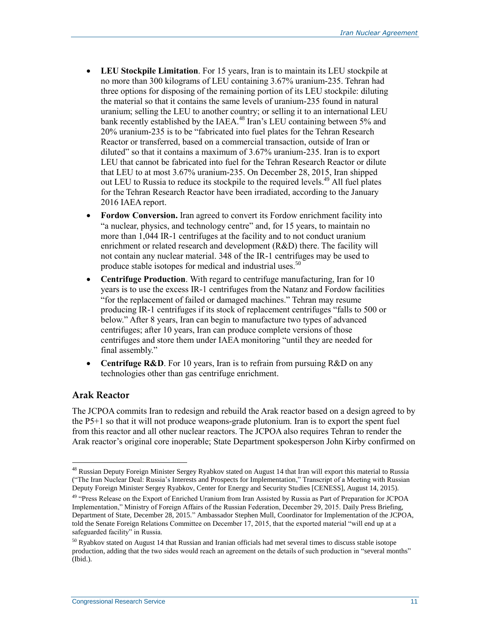- **LEU Stockpile Limitation**. For 15 years, Iran is to maintain its LEU stockpile at no more than 300 kilograms of LEU containing 3.67% uranium-235. Tehran had three options for disposing of the remaining portion of its LEU stockpile: diluting the material so that it contains the same levels of uranium-235 found in natural uranium; selling the LEU to another country; or selling it to an international LEU bank recently established by the IAEA.<sup>48</sup> Iran's LEU containing between 5% and 20% uranium-235 is to be "fabricated into fuel plates for the Tehran Research Reactor or transferred, based on a commercial transaction, outside of Iran or diluted" so that it contains a maximum of 3.67% uranium-235. Iran is to export LEU that cannot be fabricated into fuel for the Tehran Research Reactor or dilute that LEU to at most 3.67% uranium-235. On December 28, 2015, Iran shipped out LEU to Russia to reduce its stockpile to the required levels.<sup>49</sup> All fuel plates for the Tehran Research Reactor have been irradiated, according to the January 2016 IAEA report.
- **Fordow Conversion.** Iran agreed to convert its Fordow enrichment facility into "a nuclear, physics, and technology centre" and, for 15 years, to maintain no more than 1,044 IR-1 centrifuges at the facility and to not conduct uranium enrichment or related research and development (R&D) there. The facility will not contain any nuclear material. 348 of the IR-1 centrifuges may be used to produce stable isotopes for medical and industrial uses.<sup>50</sup>
- **Centrifuge Production**. With regard to centrifuge manufacturing, Iran for 10 years is to use the excess IR-1 centrifuges from the Natanz and Fordow facilities "for the replacement of failed or damaged machines." Tehran may resume producing IR-1 centrifuges if its stock of replacement centrifuges "falls to 500 or below." After 8 years, Iran can begin to manufacture two types of advanced centrifuges; after 10 years, Iran can produce complete versions of those centrifuges and store them under IAEA monitoring "until they are needed for final assembly."
- **Centrifuge R&D**. For 10 years, Iran is to refrain from pursuing R&D on any technologies other than gas centrifuge enrichment.

#### **Arak Reactor**

 $\overline{a}$ 

The JCPOA commits Iran to redesign and rebuild the Arak reactor based on a design agreed to by the P5+1 so that it will not produce weapons-grade plutonium. Iran is to export the spent fuel from this reactor and all other nuclear reactors. The JCPOA also requires Tehran to render the Arak reactor's original core inoperable; State Department spokesperson John Kirby confirmed on

 $^{48}$  Russian Deputy Foreign Minister Sergey Ryabkov stated on August 14 that Iran will export this material to Russia ("The Iran Nuclear Deal: Russia's Interests and Prospects for Implementation," Transcript of a Meeting with Russian Deputy Foreign Minister Sergey Ryabkov, Center for Energy and Security Studies [CENESS], August 14, 2015).

<sup>&</sup>lt;sup>49</sup> "Press Release on the Export of Enriched Uranium from Iran Assisted by Russia as Part of Preparation for JCPOA Implementation," Ministry of Foreign Affairs of the Russian Federation, December 29, 2015. Daily Press Briefing, Department of State, December 28, 2015." Ambassador Stephen Mull, Coordinator for Implementation of the JCPOA, told the Senate Foreign Relations Committee on December 17, 2015, that the exported material "will end up at a safeguarded facility" in Russia.

<sup>&</sup>lt;sup>50</sup> Ryabkov stated on August 14 that Russian and Iranian officials had met several times to discuss stable isotope production, adding that the two sides would reach an agreement on the details of such production in "several months" (Ibid.).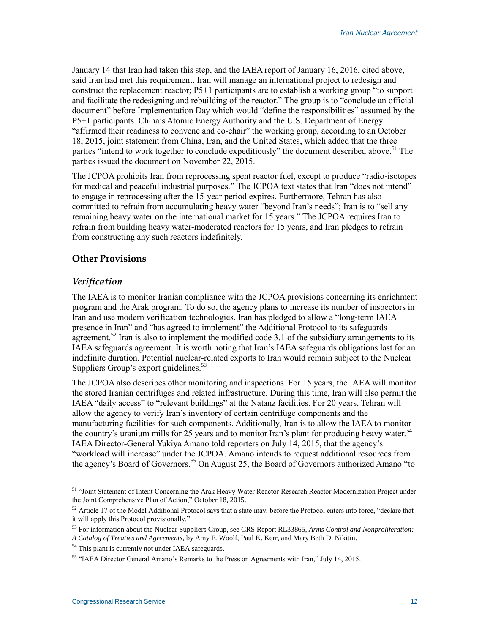January 14 that Iran had taken this step, and the IAEA report of January 16, 2016, cited above, said Iran had met this requirement. Iran will manage an international project to redesign and construct the replacement reactor; P5+1 participants are to establish a working group "to support and facilitate the redesigning and rebuilding of the reactor." The group is to "conclude an official document" before Implementation Day which would "define the responsibilities" assumed by the P5+1 participants. China's Atomic Energy Authority and the U.S. Department of Energy "affirmed their readiness to convene and co-chair" the working group, according to an October 18, 2015, joint statement from China, Iran, and the United States, which added that the three parties "intend to work together to conclude expeditiously" the document described above.<sup>51</sup> The parties issued the document on November 22, 2015.

The JCPOA prohibits Iran from reprocessing spent reactor fuel, except to produce "radio-isotopes for medical and peaceful industrial purposes." The JCPOA text states that Iran "does not intend" to engage in reprocessing after the 15-year period expires. Furthermore, Tehran has also committed to refrain from accumulating heavy water "beyond Iran's needs"; Iran is to "sell any remaining heavy water on the international market for 15 years." The JCPOA requires Iran to refrain from building heavy water-moderated reactors for 15 years, and Iran pledges to refrain from constructing any such reactors indefinitely.

#### **Other Provisions**

#### <span id="page-15-0"></span>*Verification*

 $\overline{a}$ 

The IAEA is to monitor Iranian compliance with the JCPOA provisions concerning its enrichment program and the Arak program. To do so, the agency plans to increase its number of inspectors in Iran and use modern verification technologies. Iran has pledged to allow a "long-term IAEA presence in Iran" and "has agreed to implement" the Additional Protocol to its safeguards agreement.<sup>52</sup> Iran is also to implement the modified code 3.1 of the subsidiary arrangements to its IAEA safeguards agreement. It is worth noting that Iran's IAEA safeguards obligations last for an indefinite duration. Potential nuclear-related exports to Iran would remain subject to the Nuclear Suppliers Group's export guidelines. $53$ 

The JCPOA also describes other monitoring and inspections. For 15 years, the IAEA will monitor the stored Iranian centrifuges and related infrastructure. During this time, Iran will also permit the IAEA "daily access" to "relevant buildings" at the Natanz facilities. For 20 years, Tehran will allow the agency to verify Iran's inventory of certain centrifuge components and the manufacturing facilities for such components. Additionally, Iran is to allow the IAEA to monitor the country's uranium mills for 25 years and to monitor Iran's plant for producing heavy water.<sup>54</sup> IAEA Director-General Yukiya Amano told reporters on July 14, 2015, that the agency's "workload will increase" under the JCPOA. Amano intends to request additional resources from the agency's Board of Governors.<sup>55</sup> On August 25, the Board of Governors authorized Amano "to

<sup>&</sup>lt;sup>51</sup> "Joint Statement of Intent Concerning the Arak Heavy Water Reactor Research Reactor Modernization Project under the Joint Comprehensive Plan of Action," October 18, 2015.

 $52$  Article 17 of the Model Additional Protocol says that a state may, before the Protocol enters into force, "declare that it will apply this Protocol provisionally."

<sup>53</sup> For information about the Nuclear Suppliers Group, see CRS Report RL33865, *Arms Control and Nonproliferation: A Catalog of Treaties and Agreements*, by Amy F. Woolf, Paul K. Kerr, and Mary Beth D. Nikitin.

<sup>54</sup> This plant is currently not under IAEA safeguards.

<sup>55</sup> "IAEA Director General Amano's Remarks to the Press on Agreements with Iran," July 14, 2015.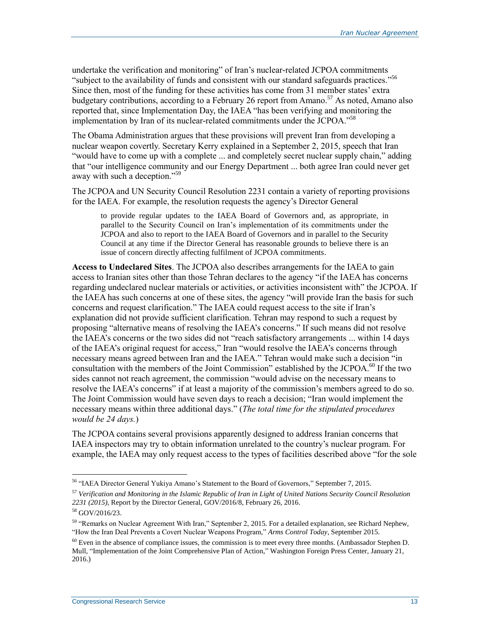undertake the verification and monitoring" of Iran's nuclear-related JCPOA commitments "subject to the availability of funds and consistent with our standard safeguards practices." 56 Since then, most of the funding for these activities has come from 31 member states' extra budgetary contributions, according to a February 26 report from Amano.<sup>57</sup> As noted, Amano also reported that, since Implementation Day, the IAEA "has been verifying and monitoring the implementation by Iran of its nuclear-related commitments under the JCPOA."<sup>58</sup>

The Obama Administration argues that these provisions will prevent Iran from developing a nuclear weapon covertly. Secretary Kerry explained in a September 2, 2015, speech that Iran "would have to come up with a complete ... and completely secret nuclear supply chain," adding that "our intelligence community and our Energy Department ... both agree Iran could never get away with such a deception."<sup>59</sup>

The JCPOA and UN Security Council Resolution 2231 contain a variety of reporting provisions for the IAEA. For example, the resolution requests the agency's Director General

to provide regular updates to the IAEA Board of Governors and, as appropriate, in parallel to the Security Council on Iran's implementation of its commitments under the JCPOA and also to report to the IAEA Board of Governors and in parallel to the Security Council at any time if the Director General has reasonable grounds to believe there is an issue of concern directly affecting fulfilment of JCPOA commitments.

**Access to Undeclared Sites**. The JCPOA also describes arrangements for the IAEA to gain access to Iranian sites other than those Tehran declares to the agency "if the IAEA has concerns regarding undeclared nuclear materials or activities, or activities inconsistent with" the JCPOA. If the IAEA has such concerns at one of these sites, the agency "will provide Iran the basis for such concerns and request clarification." The IAEA could request access to the site if Iran's explanation did not provide sufficient clarification. Tehran may respond to such a request by proposing "alternative means of resolving the IAEA's concerns." If such means did not resolve the IAEA's concerns or the two sides did not "reach satisfactory arrangements ... within 14 days of the IAEA's original request for access," Iran "would resolve the IAEA's concerns through necessary means agreed between Iran and the IAEA." Tehran would make such a decision "in consultation with the members of the Joint Commission" established by the JCPOA. <sup>60</sup> If the two sides cannot not reach agreement, the commission "would advise on the necessary means to resolve the IAEA's concerns" if at least a majority of the commission's members agreed to do so. The Joint Commission would have seven days to reach a decision; "Iran would implement the necessary means within three additional days." (*The total time for the stipulated procedures would be 24 days.*)

The JCPOA contains several provisions apparently designed to address Iranian concerns that IAEA inspectors may try to obtain information unrelated to the country's nuclear program. For example, the IAEA may only request access to the types of facilities described above "for the sole

<sup>56</sup> "IAEA Director General Yukiya Amano's Statement to the Board of Governors," September 7, 2015.

<sup>57</sup> *Verification and Monitoring in the Islamic Republic of Iran in Light of United Nations Security Council Resolution 2231 (2015)*, Report by the Director General, GOV/2016/8, February 26, 2016.

<sup>58</sup> GOV/2016/23.

<sup>&</sup>lt;sup>59</sup> "Remarks on Nuclear Agreement With Iran," September 2, 2015. For a detailed explanation, see Richard Nephew, "How the Iran Deal Prevents a Covert Nuclear Weapons Program," *Arms Control Today*, September 2015.

 $60$  Even in the absence of compliance issues, the commission is to meet every three months. (Ambassador Stephen D. Mull, "Implementation of the Joint Comprehensive Plan of Action," Washington Foreign Press Center, January 21, 2016.)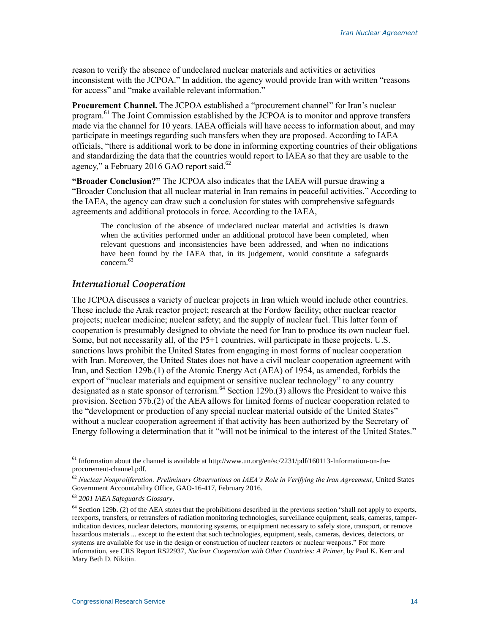reason to verify the absence of undeclared nuclear materials and activities or activities inconsistent with the JCPOA." In addition, the agency would provide Iran with written "reasons for access" and "make available relevant information."

**Procurement Channel.** The JCPOA established a "procurement channel" for Iran's nuclear program.<sup>61</sup> The Joint Commission established by the JCPOA is to monitor and approve transfers made via the channel for 10 years. IAEA officials will have access to information about, and may participate in meetings regarding such transfers when they are proposed. According to IAEA officials, "there is additional work to be done in informing exporting countries of their obligations and standardizing the data that the countries would report to IAEA so that they are usable to the agency," a February 2016 GAO report said. $62$ 

**"Broader Conclusion?"** The JCPOA also indicates that the IAEA will pursue drawing a "Broader Conclusion that all nuclear material in Iran remains in peaceful activities." According to the IAEA, the agency can draw such a conclusion for states with comprehensive safeguards agreements and additional protocols in force. According to the IAEA,

The conclusion of the absence of undeclared nuclear material and activities is drawn when the activities performed under an additional protocol have been completed, when relevant questions and inconsistencies have been addressed, and when no indications have been found by the IAEA that, in its judgement, would constitute a safeguards concern.<sup>63</sup>

#### *International Cooperation*

The JCPOA discusses a variety of nuclear projects in Iran which would include other countries. These include the Arak reactor project; research at the Fordow facility; other nuclear reactor projects; nuclear medicine; nuclear safety; and the supply of nuclear fuel. This latter form of cooperation is presumably designed to obviate the need for Iran to produce its own nuclear fuel. Some, but not necessarily all, of the P5+1 countries, will participate in these projects. U.S. sanctions laws prohibit the United States from engaging in most forms of nuclear cooperation with Iran. Moreover, the United States does not have a civil nuclear cooperation agreement with Iran, and Section 129b.(1) of the Atomic Energy Act (AEA) of 1954, as amended, forbids the export of "nuclear materials and equipment or sensitive nuclear technology" to any country designated as a state sponsor of terrorism.<sup>64</sup> Section 129b.(3) allows the President to waive this provision. Section 57b.(2) of the AEA allows for limited forms of nuclear cooperation related to the "development or production of any special nuclear material outside of the United States" without a nuclear cooperation agreement if that activity has been authorized by the Secretary of Energy following a determination that it "will not be inimical to the interest of the United States."

<sup>&</sup>lt;sup>61</sup> Information about the channel is available at http://www.un.org/en/sc/2231/pdf/160113-Information-on-theprocurement-channel.pdf.

<sup>62</sup> *Nuclear Nonproliferation: Preliminary Observations on IAEA's Role in Verifying the Iran Agreement*, United States Government Accountability Office, GAO-16-417, February 2016.

<sup>63</sup> *2001 IAEA Safeguards Glossary*.

 $64$  Section 129b. (2) of the AEA states that the prohibitions described in the previous section "shall not apply to exports, reexports, transfers, or retransfers of radiation monitoring technologies, surveillance equipment, seals, cameras, tamperindication devices, nuclear detectors, monitoring systems, or equipment necessary to safely store, transport, or remove hazardous materials ... except to the extent that such technologies, equipment, seals, cameras, devices, detectors, or systems are available for use in the design or construction of nuclear reactors or nuclear weapons." For more information, see CRS Report RS22937, *Nuclear Cooperation with Other Countries: A Primer*, by Paul K. Kerr and Mary Beth D. Nikitin.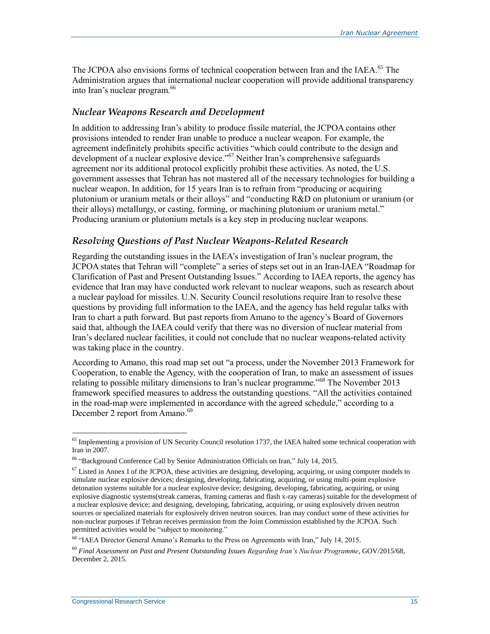The JCPOA also envisions forms of technical cooperation between Iran and the IAEA.<sup>65</sup> The Administration argues that international nuclear cooperation will provide additional transparency into Iran's nuclear program.<sup>66</sup>

#### *Nuclear Weapons Research and Development*

In addition to addressing Iran's ability to produce fissile material, the JCPOA contains other provisions intended to render Iran unable to produce a nuclear weapon. For example, the agreement indefinitely prohibits specific activities "which could contribute to the design and development of a nuclear explosive device."<sup>67</sup> Neither Iran's comprehensive safeguards agreement nor its additional protocol explicitly prohibit these activities. As noted, the U.S. government assesses that Tehran has not mastered all of the necessary technologies for building a nuclear weapon. In addition, for 15 years Iran is to refrain from "producing or acquiring plutonium or uranium metals or their alloys" and "conducting R&D on plutonium or uranium (or their alloys) metallurgy, or casting, forming, or machining plutonium or uranium metal." Producing uranium or plutonium metals is a key step in producing nuclear weapons.

#### *Resolving Questions of Past Nuclear Weapons-Related Research*

Regarding the outstanding issues in the IAEA's investigation of Iran's nuclear program, the JCPOA states that Tehran will "complete" a series of steps set out in an Iran-IAEA "Roadmap for Clarification of Past and Present Outstanding Issues." According to IAEA reports, the agency has evidence that Iran may have conducted work relevant to nuclear weapons, such as research about a nuclear payload for missiles. U.N. Security Council resolutions require Iran to resolve these questions by providing full information to the IAEA, and the agency has held regular talks with Iran to chart a path forward. But past reports from Amano to the agency's Board of Governors said that, although the IAEA could verify that there was no diversion of nuclear material from Iran's declared nuclear facilities, it could not conclude that no nuclear weapons-related activity was taking place in the country.

According to Amano, this road map set out "a process, under the November 2013 Framework for Cooperation, to enable the Agency, with the cooperation of Iran, to make an assessment of issues relating to possible military dimensions to Iran's nuclear programme."<sup>68</sup> The November 2013 framework specified measures to address the outstanding questions. "All the activities contained in the road-map were implemented in accordance with the agreed schedule," according to a December 2 report from Amano.<sup>69</sup>

<sup>68</sup> "IAEA Director General Amano's Remarks to the Press on Agreements with Iran," July 14, 2015.

 $<sup>65</sup>$  Implementing a provision of UN Security Council resolution 1737, the IAEA halted some technical cooperation with</sup> Iran in 2007.

<sup>66</sup> "Background Conference Call by Senior Administration Officials on Iran," July 14, 2015.

 $^{67}$  Listed in Annex I of the JCPOA, these activities are designing, developing, acquiring, or using computer models to simulate nuclear explosive devices; designing, developing, fabricating, acquiring, or using multi-point explosive detonation systems suitable for a nuclear explosive device; designing, developing, fabricating, acquiring, or using explosive diagnostic systems(streak cameras, framing cameras and flash x-ray cameras) suitable for the development of a nuclear explosive device; and designing, developing, fabricating, acquiring, or using explosively driven neutron sources or specialized materials for explosively driven neutron sources. Iran may conduct some of these activities for non-nuclear purposes if Tehran receives permission from the Joint Commission established by the JCPOA. Such permitted activities would be "subject to monitoring."

<sup>69</sup> *Final Assessment on Past and Present Outstanding Issues Regarding Iran's Nuclear Programme*, GOV/2015/68, December 2, 2015.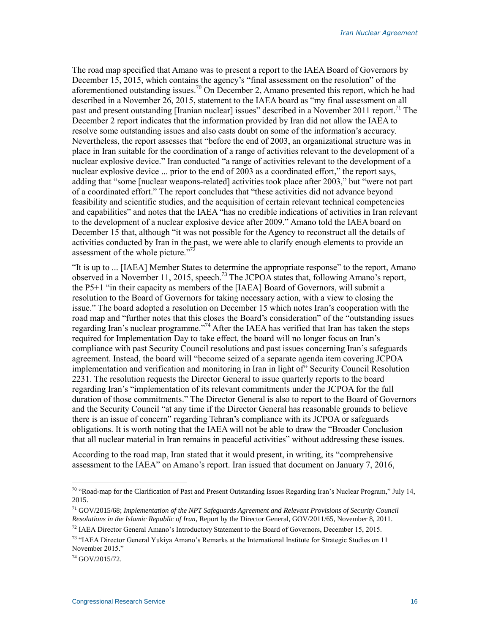The road map specified that Amano was to present a report to the IAEA Board of Governors by December 15, 2015, which contains the agency's "final assessment on the resolution" of the aforementioned outstanding issues.<sup>70</sup> On December 2, Amano presented this report, which he had described in a November 26, 2015, statement to the IAEA board as "my final assessment on all past and present outstanding [Iranian nuclear] issues" described in a November 2011 report.<sup>71</sup> The December 2 report indicates that the information provided by Iran did not allow the IAEA to resolve some outstanding issues and also casts doubt on some of the information's accuracy. Nevertheless, the report assesses that "before the end of 2003, an organizational structure was in place in Iran suitable for the coordination of a range of activities relevant to the development of a nuclear explosive device." Iran conducted "a range of activities relevant to the development of a nuclear explosive device ... prior to the end of 2003 as a coordinated effort," the report says, adding that "some [nuclear weapons-related] activities took place after 2003," but "were not part of a coordinated effort." The report concludes that "these activities did not advance beyond feasibility and scientific studies, and the acquisition of certain relevant technical competencies and capabilities" and notes that the IAEA "has no credible indications of activities in Iran relevant to the development of a nuclear explosive device after 2009." Amano told the IAEA board on December 15 that, although "it was not possible for the Agency to reconstruct all the details of activities conducted by Iran in the past, we were able to clarify enough elements to provide an assessment of the whole picture."<sup>72</sup>

"It is up to ... [IAEA] Member States to determine the appropriate response" to the report, Amano observed in a November 11, 2015, speech.<sup>73</sup> The JCPOA states that, following Amano's report, the P5+1 "in their capacity as members of the [IAEA] Board of Governors, will submit a resolution to the Board of Governors for taking necessary action, with a view to closing the issue." The board adopted a resolution on December 15 which notes Iran's cooperation with the road map and "further notes that this closes the Board's consideration" of the "outstanding issues regarding Iran's nuclear programme."<sup>74</sup> After the IAEA has verified that Iran has taken the steps required for Implementation Day to take effect, the board will no longer focus on Iran's compliance with past Security Council resolutions and past issues concerning Iran's safeguards agreement. Instead, the board will "become seized of a separate agenda item covering JCPOA implementation and verification and monitoring in Iran in light of" Security Council Resolution 2231. The resolution requests the Director General to issue quarterly reports to the board regarding Iran's "implementation of its relevant commitments under the JCPOA for the full duration of those commitments." The Director General is also to report to the Board of Governors and the Security Council "at any time if the Director General has reasonable grounds to believe there is an issue of concern" regarding Tehran's compliance with its JCPOA or safeguards obligations. It is worth noting that the IAEA will not be able to draw the "Broader Conclusion that all nuclear material in Iran remains in peaceful activities" without addressing these issues.

According to the road map, Iran stated that it would present, in writing, its "comprehensive assessment to the IAEA" on Amano's report. Iran issued that document on January 7, 2016,

<sup>&</sup>lt;sup>70</sup> "Road-map for the Clarification of Past and Present Outstanding Issues Regarding Iran's Nuclear Program," July 14, 2015.

<sup>71</sup> GOV/2015/68; *Implementation of the NPT Safeguards Agreement and Relevant Provisions of Security Council Resolutions in the Islamic Republic of Iran*, Report by the Director General, GOV/2011/65, November 8, 2011.

 $72$  IAEA Director General Amano's Introductory Statement to the Board of Governors, December 15, 2015.

<sup>73</sup> "IAEA Director General Yukiya Amano's Remarks at the International Institute for Strategic Studies on 11 November 2015."

 $74$  GOV/2015/72.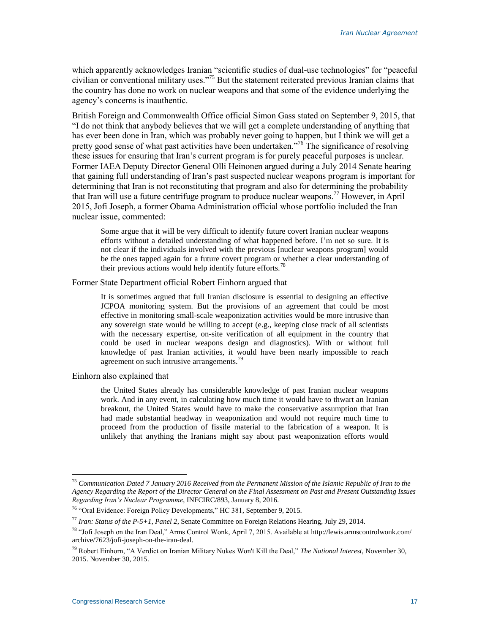which apparently acknowledges Iranian "scientific studies of dual-use technologies" for "peaceful civilian or conventional military uses."<sup>75</sup> But the statement reiterated previous Iranian claims that the country has done no work on nuclear weapons and that some of the evidence underlying the agency's concerns is inauthentic.

British Foreign and Commonwealth Office official Simon Gass stated on September 9, 2015, that "I do not think that anybody believes that we will get a complete understanding of anything that has ever been done in Iran, which was probably never going to happen, but I think we will get a pretty good sense of what past activities have been undertaken."<sup>76</sup> The significance of resolving these issues for ensuring that Iran's current program is for purely peaceful purposes is unclear. Former IAEA Deputy Director General Olli Heinonen argued during a July 2014 Senate hearing that gaining full understanding of Iran's past suspected nuclear weapons program is important for determining that Iran is not reconstituting that program and also for determining the probability that Iran will use a future centrifuge program to produce nuclear weapons.<sup>77</sup> However, in April 2015, Jofi Joseph, a former Obama Administration official whose portfolio included the Iran nuclear issue, commented:

Some argue that it will be very difficult to identify future covert Iranian nuclear weapons efforts without a detailed understanding of what happened before. I'm not so sure. It is not clear if the individuals involved with the previous [nuclear weapons program] would be the ones tapped again for a future covert program or whether a clear understanding of their previous actions would help identify future efforts.<sup>78</sup>

Former State Department official Robert Einhorn argued that

It is sometimes argued that full Iranian disclosure is essential to designing an effective JCPOA monitoring system. But the provisions of an agreement that could be most effective in monitoring small-scale weaponization activities would be more intrusive than any sovereign state would be willing to accept (e.g., keeping close track of all scientists with the necessary expertise, on-site verification of all equipment in the country that could be used in nuclear weapons design and diagnostics). With or without full knowledge of past Iranian activities, it would have been nearly impossible to reach agreement on such intrusive arrangements.<sup>79</sup>

Einhorn also explained that

 $\overline{a}$ 

the United States already has considerable knowledge of past Iranian nuclear weapons work. And in any event, in calculating how much time it would have to thwart an Iranian breakout, the United States would have to make the conservative assumption that Iran had made substantial headway in weaponization and would not require much time to proceed from the production of fissile material to the fabrication of a weapon. It is unlikely that anything the Iranians might say about past weaponization efforts would

<sup>75</sup> *Communication Dated 7 January 2016 Received from the Permanent Mission of the Islamic Republic of Iran to the Agency Regarding the Report of the Director General on the Final Assessment on Past and Present Outstanding Issues Regarding Iran's Nuclear Programme*, INFCIRC/893, January 8, 2016.

<sup>76</sup> "Oral Evidence: Foreign Policy Developments," HC 381, September 9, 2015.

<sup>77</sup> *Iran: Status of the P-5+1, Panel 2*, Senate Committee on Foreign Relations Hearing, July 29, 2014.

<sup>78</sup> "Jofi Joseph on the Iran Deal," Arms Control Wonk, April 7, 2015. Available at http://lewis.armscontrolwonk.com/ archive/7623/jofi-joseph-on-the-iran-deal.

<sup>79</sup> Robert Einhorn, "A Verdict on Iranian Military Nukes Won't Kill the Deal," *The National Interest*, November 30, 2015. November 30, 2015.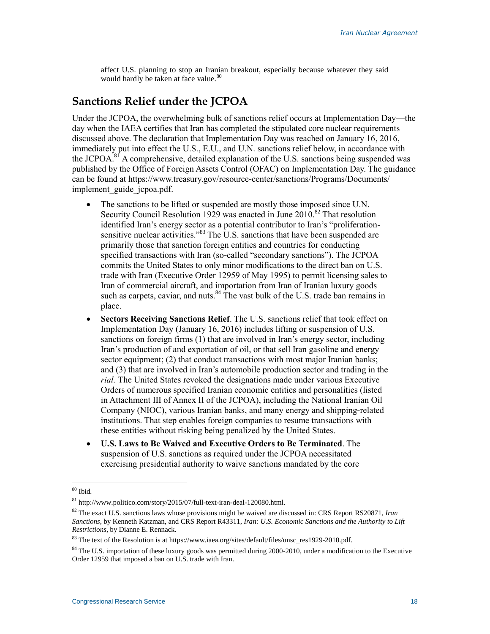affect U.S. planning to stop an Iranian breakout, especially because whatever they said would hardly be taken at face value.<sup>80</sup>

### **Sanctions Relief under the JCPOA**

Under the JCPOA, the overwhelming bulk of sanctions relief occurs at Implementation Day—the day when the IAEA certifies that Iran has completed the stipulated core nuclear requirements discussed above. The declaration that Implementation Day was reached on January 16, 2016, immediately put into effect the U.S., E.U., and U.N. sanctions relief below, in accordance with the JCPOA.<sup>81</sup> A comprehensive, detailed explanation of the U.S. sanctions being suspended was published by the Office of Foreign Assets Control (OFAC) on Implementation Day. The guidance can be found at https://www.treasury.gov/resource-center/sanctions/Programs/Documents/ implement guide jcpoa.pdf.

- The sanctions to be lifted or suspended are mostly those imposed since U.N. Security Council Resolution 1929 was enacted in June 2010.<sup>82</sup> That resolution identified Iran's energy sector as a potential contributor to Iran's "proliferationsensitive nuclear activities."<sup>83</sup> The U.S. sanctions that have been suspended are primarily those that sanction foreign entities and countries for conducting specified transactions with Iran (so-called "secondary sanctions"). The JCPOA commits the United States to only minor modifications to the direct ban on U.S. trade with Iran (Executive Order 12959 of May 1995) to permit licensing sales to Iran of commercial aircraft, and importation from Iran of Iranian luxury goods such as carpets, caviar, and nuts. $84$  The vast bulk of the U.S. trade ban remains in place.
- **Sectors Receiving Sanctions Relief**. The U.S. sanctions relief that took effect on Implementation Day (January 16, 2016) includes lifting or suspension of U.S. sanctions on foreign firms (1) that are involved in Iran's energy sector, including Iran's production of and exportation of oil, or that sell Iran gasoline and energy sector equipment; (2) that conduct transactions with most major Iranian banks; and (3) that are involved in Iran's automobile production sector and trading in the *rial.* The United States revoked the designations made under various Executive Orders of numerous specified Iranian economic entities and personalities (listed in Attachment III of Annex II of the JCPOA), including the National Iranian Oil Company (NIOC), various Iranian banks, and many energy and shipping-related institutions. That step enables foreign companies to resume transactions with these entities without risking being penalized by the United States.
- **U.S. Laws to Be Waived and Executive Orders to Be Terminated**. The suspension of U.S. sanctions as required under the JCPOA necessitated exercising presidential authority to waive sanctions mandated by the core

<sup>80</sup> Ibid*.*

 $^{81}$ http://www.politico.com/story/2015/07/full-text-iran-deal-120080.html.

<sup>82</sup> The exact U.S. sanctions laws whose provisions might be waived are discussed in: CRS Report RS20871, *Iran Sanctions*, by Kenneth Katzman, and CRS Report R43311, *Iran: U.S. Economic Sanctions and the Authority to Lift Restrictions*, by Dianne E. Rennack.

<sup>&</sup>lt;sup>83</sup> The text of the Resolution is at https://www.iaea.org/sites/default/files/unsc\_res1929-2010.pdf.

<sup>&</sup>lt;sup>84</sup> The U.S. importation of these luxury goods was permitted during 2000-2010, under a modification to the Executive Order 12959 that imposed a ban on U.S. trade with Iran.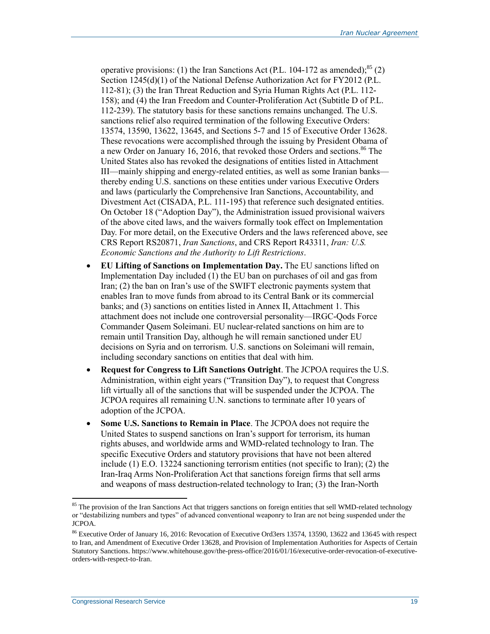operative provisions: (1) the Iran Sanctions Act (P.L. 104-172 as amended); $^{85}$  (2) Section 1245(d)(1) of the National Defense Authorization Act for FY2012 (P.L. 112-81); (3) the Iran Threat Reduction and Syria Human Rights Act (P.L. 112- 158); and (4) the Iran Freedom and Counter-Proliferation Act (Subtitle D of P.L. 112-239). The statutory basis for these sanctions remains unchanged. The U.S. sanctions relief also required termination of the following Executive Orders: 13574, 13590, 13622, 13645, and Sections 5-7 and 15 of Executive Order 13628. These revocations were accomplished through the issuing by President Obama of a new Order on January 16, 2016, that revoked those Orders and sections.<sup>86</sup> The United States also has revoked the designations of entities listed in Attachment III—mainly shipping and energy-related entities, as well as some Iranian banks thereby ending U.S. sanctions on these entities under various Executive Orders and laws (particularly the Comprehensive Iran Sanctions, Accountability, and Divestment Act (CISADA, P.L. 111-195) that reference such designated entities. On October 18 ("Adoption Day"), the Administration issued provisional waivers of the above cited laws, and the waivers formally took effect on Implementation Day. For more detail, on the Executive Orders and the laws referenced above, see CRS Report RS20871, *Iran Sanctions*, and CRS Report R43311, *Iran: U.S. Economic Sanctions and the Authority to Lift Restrictions*.

- **EU Lifting of Sanctions on Implementation Day.** The EU sanctions lifted on Implementation Day included (1) the EU ban on purchases of oil and gas from Iran; (2) the ban on Iran's use of the SWIFT electronic payments system that enables Iran to move funds from abroad to its Central Bank or its commercial banks; and (3) sanctions on entities listed in Annex II, Attachment 1. This attachment does not include one controversial personality—IRGC-Qods Force Commander Qasem Soleimani. EU nuclear-related sanctions on him are to remain until Transition Day, although he will remain sanctioned under EU decisions on Syria and on terrorism. U.S. sanctions on Soleimani will remain, including secondary sanctions on entities that deal with him.
- **Request for Congress to Lift Sanctions Outright**. The JCPOA requires the U.S. Administration, within eight years ("Transition Day"), to request that Congress lift virtually all of the sanctions that will be suspended under the JCPOA. The JCPOA requires all remaining U.N. sanctions to terminate after 10 years of adoption of the JCPOA.
- **Some U.S. Sanctions to Remain in Place**. The JCPOA does not require the United States to suspend sanctions on Iran's support for terrorism, its human rights abuses, and worldwide arms and WMD-related technology to Iran. The specific Executive Orders and statutory provisions that have not been altered include (1) E.O. 13224 sanctioning terrorism entities (not specific to Iran); (2) the Iran-Iraq Arms Non-Proliferation Act that sanctions foreign firms that sell arms and weapons of mass destruction-related technology to Iran; (3) the Iran-North

 $85$  The provision of the Iran Sanctions Act that triggers sanctions on foreign entities that sell WMD-related technology or "destabilizing numbers and types" of advanced conventional weaponry to Iran are not being suspended under the JCPOA.

<sup>86</sup> Executive Order of January 16, 2016: Revocation of Executive Ord3ers 13574, 13590, 13622 and 13645 with respect to Iran, and Amendment of Executive Order 13628, and Provision of Implementation Authorities for Aspects of Certain Statutory Sanctions. https://www.whitehouse.gov/the-press-office/2016/01/16/executive-order-revocation-of-executiveorders-with-respect-to-Iran.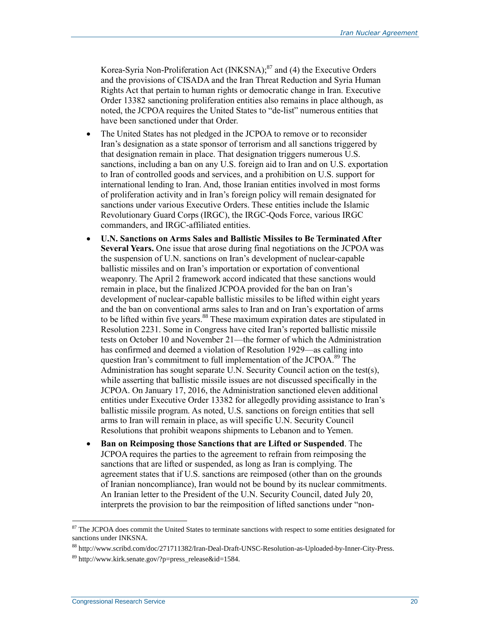Korea-Syria Non-Proliferation Act (INKSNA); $^{87}$  and (4) the Executive Orders and the provisions of CISADA and the Iran Threat Reduction and Syria Human Rights Act that pertain to human rights or democratic change in Iran. Executive Order 13382 sanctioning proliferation entities also remains in place although, as noted, the JCPOA requires the United States to "de-list" numerous entities that have been sanctioned under that Order

- The United States has not pledged in the JCPOA to remove or to reconsider Iran's designation as a state sponsor of terrorism and all sanctions triggered by that designation remain in place. That designation triggers numerous U.S. sanctions, including a ban on any U.S. foreign aid to Iran and on U.S. exportation to Iran of controlled goods and services, and a prohibition on U.S. support for international lending to Iran. And, those Iranian entities involved in most forms of proliferation activity and in Iran's foreign policy will remain designated for sanctions under various Executive Orders. These entities include the Islamic Revolutionary Guard Corps (IRGC), the IRGC-Qods Force, various IRGC commanders, and IRGC-affiliated entities.
- **U.N. Sanctions on Arms Sales and Ballistic Missiles to Be Terminated After Several Years.** One issue that arose during final negotiations on the JCPOA was the suspension of U.N. sanctions on Iran's development of nuclear-capable ballistic missiles and on Iran's importation or exportation of conventional weaponry. The April 2 framework accord indicated that these sanctions would remain in place, but the finalized JCPOA provided for the ban on Iran's development of nuclear-capable ballistic missiles to be lifted within eight years and the ban on conventional arms sales to Iran and on Iran's exportation of arms to be lifted within five years.<sup>88</sup> These maximum expiration dates are stipulated in Resolution 2231. Some in Congress have cited Iran's reported ballistic missile tests on October 10 and November 21—the former of which the Administration has confirmed and deemed a violation of Resolution 1929—as calling into question Iran's commitment to full implementation of the JCPOA.<sup>89</sup> The Administration has sought separate U.N. Security Council action on the test(s), while asserting that ballistic missile issues are not discussed specifically in the JCPOA. On January 17, 2016, the Administration sanctioned eleven additional entities under Executive Order 13382 for allegedly providing assistance to Iran's ballistic missile program. As noted, U.S. sanctions on foreign entities that sell arms to Iran will remain in place, as will specific U.N. Security Council Resolutions that prohibit weapons shipments to Lebanon and to Yemen.
- **Ban on Reimposing those Sanctions that are Lifted or Suspended**. The JCPOA requires the parties to the agreement to refrain from reimposing the sanctions that are lifted or suspended, as long as Iran is complying. The agreement states that if U.S. sanctions are reimposed (other than on the grounds of Iranian noncompliance), Iran would not be bound by its nuclear commitments. An Iranian letter to the President of the U.N. Security Council, dated July 20, interprets the provision to bar the reimposition of lifted sanctions under "non-

 $87$  The JCPOA does commit the United States to terminate sanctions with respect to some entities designated for sanctions under INKSNA.

<sup>88</sup> http://www.scribd.com/doc/271711382/Iran-Deal-Draft-UNSC-Resolution-as-Uploaded-by-Inner-City-Press.

 $89$  http://www.kirk.senate.gov/?p=press\_release&id=1584.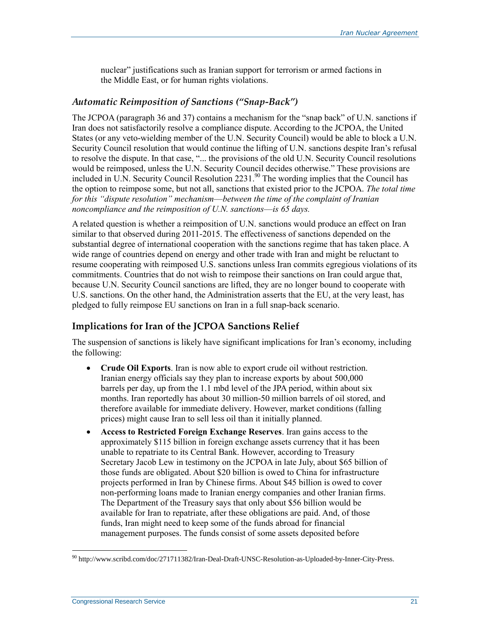nuclear" justifications such as Iranian support for terrorism or armed factions in the Middle East, or for human rights violations.

#### *Automatic Reimposition of Sanctions ("Snap-Back")*

The JCPOA (paragraph 36 and 37) contains a mechanism for the "snap back" of U.N. sanctions if Iran does not satisfactorily resolve a compliance dispute. According to the JCPOA, the United States (or any veto-wielding member of the U.N. Security Council) would be able to block a U.N. Security Council resolution that would continue the lifting of U.N. sanctions despite Iran's refusal to resolve the dispute. In that case, "... the provisions of the old U.N. Security Council resolutions would be reimposed, unless the U.N. Security Council decides otherwise." These provisions are included in U.N. Security Council Resolution  $2231.^{90}$  The wording implies that the Council has the option to reimpose some, but not all, sanctions that existed prior to the JCPOA. *The total time for this "dispute resolution" mechanism*—*between the time of the complaint of Iranian noncompliance and the reimposition of U.N. sanctions*—*is 65 days.*

A related question is whether a reimposition of U.N. sanctions would produce an effect on Iran similar to that observed during 2011-2015. The effectiveness of sanctions depended on the substantial degree of international cooperation with the sanctions regime that has taken place. A wide range of countries depend on energy and other trade with Iran and might be reluctant to resume cooperating with reimposed U.S. sanctions unless Iran commits egregious violations of its commitments. Countries that do not wish to reimpose their sanctions on Iran could argue that, because U.N. Security Council sanctions are lifted, they are no longer bound to cooperate with U.S. sanctions. On the other hand, the Administration asserts that the EU, at the very least, has pledged to fully reimpose EU sanctions on Iran in a full snap-back scenario.

#### **Implications for Iran of the JCPOA Sanctions Relief**

The suspension of sanctions is likely have significant implications for Iran's economy, including the following:

- **Crude Oil Exports**. Iran is now able to export crude oil without restriction. Iranian energy officials say they plan to increase exports by about 500,000 barrels per day, up from the 1.1 mbd level of the JPA period, within about six months. Iran reportedly has about 30 million-50 million barrels of oil stored, and therefore available for immediate delivery. However, market conditions (falling prices) might cause Iran to sell less oil than it initially planned.
- **Access to Restricted Foreign Exchange Reserves**. Iran gains access to the approximately \$115 billion in foreign exchange assets currency that it has been unable to repatriate to its Central Bank. However, according to Treasury Secretary Jacob Lew in testimony on the JCPOA in late July, about \$65 billion of those funds are obligated. About \$20 billion is owed to China for infrastructure projects performed in Iran by Chinese firms. About \$45 billion is owed to cover non-performing loans made to Iranian energy companies and other Iranian firms. The Department of the Treasury says that only about \$56 billion would be available for Iran to repatriate, after these obligations are paid. And, of those funds, Iran might need to keep some of the funds abroad for financial management purposes. The funds consist of some assets deposited before

 $\overline{a}$ <sup>90</sup> http://www.scribd.com/doc/271711382/Iran-Deal-Draft-UNSC-Resolution-as-Uploaded-by-Inner-City-Press.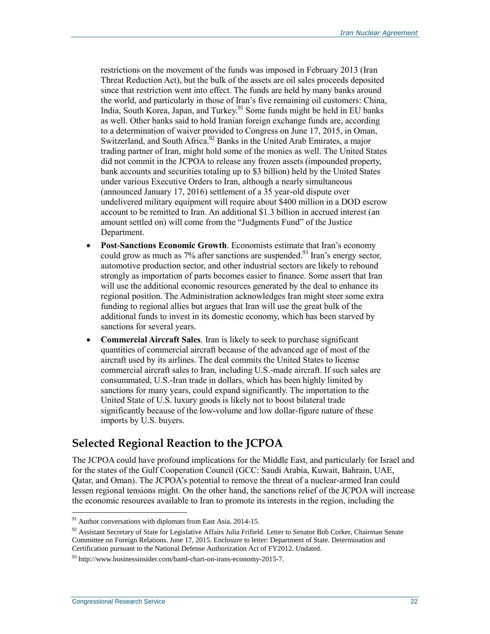restrictions on the movement of the funds was imposed in February 2013 (Iran Threat Reduction Act), but the bulk of the assets are oil sales proceeds deposited since that restriction went into effect. The funds are held by many banks around the world, and particularly in those of Iran's five remaining oil customers: China, India, South Korea, Japan, and Turkey.<sup>91</sup> Some funds might be held in EU banks as well. Other banks said to hold Iranian foreign exchange funds are, according to a determination of waiver provided to Congress on June 17, 2015, in Oman, Switzerland, and South Africa.<sup>92</sup> Banks in the United Arab Emirates, a major trading partner of Iran, might hold some of the monies as well. The United States did not commit in the JCPOA to release any frozen assets (impounded property, bank accounts and securities totaling up to \$3 billion) held by the United States under various Executive Orders to Iran, although a nearly simultaneous (announced January 17, 2016) settlement of a 35 year-old dispute over undelivered military equipment will require about \$400 million in a DOD escrow account to be remitted to Iran. An additional \$1.3 billion in accrued interest (an amount settled on) will come from the "Judgments Fund" of the Justice Department.

- **Post-Sanctions Economic Growth**. Economists estimate that Iran's economy could grow as much as 7% after sanctions are suspended.<sup>93</sup> Iran's energy sector, automotive production sector, and other industrial sectors are likely to rebound strongly as importation of parts becomes easier to finance. Some assert that Iran will use the additional economic resources generated by the deal to enhance its regional position. The Administration acknowledges Iran might steer some extra funding to regional allies but argues that Iran will use the great bulk of the additional funds to invest in its domestic economy, which has been starved by sanctions for several years.
- **Commercial Aircraft Sales**. Iran is likely to seek to purchase significant quantities of commercial aircraft because of the advanced age of most of the aircraft used by its airlines. The deal commits the United States to license commercial aircraft sales to Iran, including U.S.-made aircraft. If such sales are consummated, U.S.-Iran trade in dollars, which has been highly limited by sanctions for many years, could expand significantly. The importation to the United State of U.S. luxury goods is likely not to boost bilateral trade significantly because of the low-volume and low dollar-figure nature of these imports by U.S. buyers.

### **Selected Regional Reaction to the JCPOA**

The JCPOA could have profound implications for the Middle East, and particularly for Israel and for the states of the Gulf Cooperation Council (GCC: Saudi Arabia, Kuwait, Bahrain, UAE, Qatar, and Oman). The JCPOA's potential to remove the threat of a nuclear-armed Iran could lessen regional tensions might. On the other hand, the sanctions relief of the JCPOA will increase the economic resources available to Iran to promote its interests in the region, including the

 $91$  Author conversations with diplomats from East Asia. 2014-15.

 $92$  Assistant Secretary of State for Legislative Affairs Julia Frifield. Letter to Senator Bob Corker, Chairman Senate Committee on Foreign Relations. June 17, 2015. Enclosure to letter: Department of State. Determination and Certification pursuant to the National Defense Authorization Act of FY2012. Undated.

 $^{93}$  http://www.businessinsider.com/baml-chart-on-irans-economy-2015-7.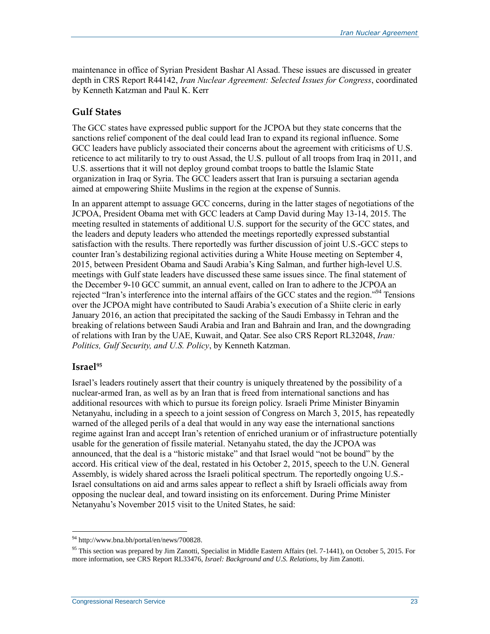maintenance in office of Syrian President Bashar Al Assad. These issues are discussed in greater depth in CRS Report R44142, *Iran Nuclear Agreement: Selected Issues for Congress*, coordinated by Kenneth Katzman and Paul K. Kerr

#### **Gulf States**

The GCC states have expressed public support for the JCPOA but they state concerns that the sanctions relief component of the deal could lead Iran to expand its regional influence. Some GCC leaders have publicly associated their concerns about the agreement with criticisms of U.S. reticence to act militarily to try to oust Assad, the U.S. pullout of all troops from Iraq in 2011, and U.S. assertions that it will not deploy ground combat troops to battle the Islamic State organization in Iraq or Syria. The GCC leaders assert that Iran is pursuing a sectarian agenda aimed at empowering Shiite Muslims in the region at the expense of Sunnis.

In an apparent attempt to assuage GCC concerns, during in the latter stages of negotiations of the JCPOA, President Obama met with GCC leaders at Camp David during May 13-14, 2015. The meeting resulted in statements of additional U.S. support for the security of the GCC states, and the leaders and deputy leaders who attended the meetings reportedly expressed substantial satisfaction with the results. There reportedly was further discussion of joint U.S.-GCC steps to counter Iran's destabilizing regional activities during a White House meeting on September 4, 2015, between President Obama and Saudi Arabia's King Salman, and further high-level U.S. meetings with Gulf state leaders have discussed these same issues since. The final statement of the December 9-10 GCC summit, an annual event, called on Iran to adhere to the JCPOA an rejected "Iran's interference into the internal affairs of the GCC states and the region."<sup>94</sup> Tensions over the JCPOA might have contributed to Saudi Arabia's execution of a Shiite cleric in early January 2016, an action that precipitated the sacking of the Saudi Embassy in Tehran and the breaking of relations between Saudi Arabia and Iran and Bahrain and Iran, and the downgrading of relations with Iran by the UAE, Kuwait, and Qatar. See also CRS Report RL32048, *Iran: Politics, Gulf Security, and U.S. Policy*, by Kenneth Katzman.

#### **Israel<sup>95</sup>**

 $\overline{a}$ 

Israel's leaders routinely assert that their country is uniquely threatened by the possibility of a nuclear-armed Iran, as well as by an Iran that is freed from international sanctions and has additional resources with which to pursue its foreign policy. Israeli Prime Minister Binyamin Netanyahu, including in a speech to a joint session of Congress on March 3, 2015, has repeatedly warned of the alleged perils of a deal that would in any way ease the international sanctions regime against Iran and accept Iran's retention of enriched uranium or of infrastructure potentially usable for the generation of fissile material. Netanyahu stated, the day the JCPOA was announced, that the deal is a "historic mistake" and that Israel would "not be bound" by the accord. His critical view of the deal, restated in his October 2, 2015, speech to the U.N. General Assembly, is widely shared across the Israeli political spectrum. The reportedly ongoing U.S.- Israel consultations on aid and arms sales appear to reflect a shift by Israeli officials away from opposing the nuclear deal, and toward insisting on its enforcement. During Prime Minister Netanyahu's November 2015 visit to the United States, he said:

<sup>94</sup> http://www.bna.bh/portal/en/news/700828.

<sup>&</sup>lt;sup>95</sup> This section was prepared by Jim Zanotti, Specialist in Middle Eastern Affairs (tel. 7-1441), on October 5, 2015. For more information, see CRS Report RL33476, *Israel: Background and U.S. Relations*, by Jim Zanotti.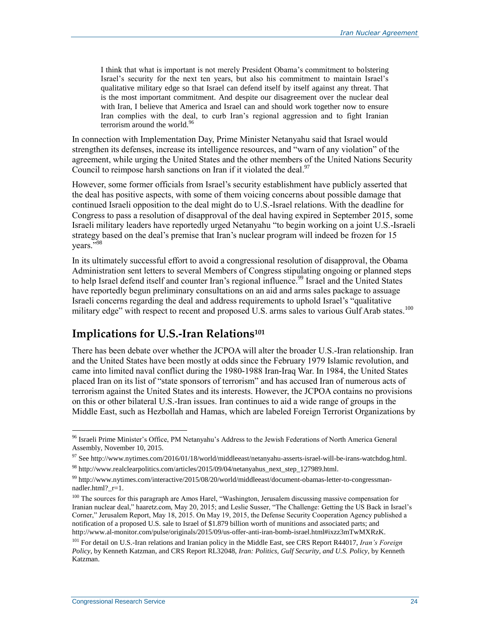I think that what is important is not merely President Obama's commitment to bolstering Israel's security for the next ten years, but also his commitment to maintain Israel's qualitative military edge so that Israel can defend itself by itself against any threat. That is the most important commitment. And despite our disagreement over the nuclear deal with Iran, I believe that America and Israel can and should work together now to ensure Iran complies with the deal, to curb Iran's regional aggression and to fight Iranian terrorism around the world. $96$ 

In connection with Implementation Day, Prime Minister Netanyahu said that Israel would strengthen its defenses, increase its intelligence resources, and "warn of any violation" of the agreement, while urging the United States and the other members of the United Nations Security Council to reimpose harsh sanctions on Iran if it violated the deal.<sup>97</sup>

However, some former officials from Israel's security establishment have publicly asserted that the deal has positive aspects, with some of them voicing concerns about possible damage that continued Israeli opposition to the deal might do to U.S.-Israel relations. With the deadline for Congress to pass a resolution of disapproval of the deal having expired in September 2015, some Israeli military leaders have reportedly urged Netanyahu "to begin working on a joint U.S.-Israeli strategy based on the deal's premise that Iran's nuclear program will indeed be frozen for 15 years.<sup>7,98</sup>

In its ultimately successful effort to avoid a congressional resolution of disapproval, the Obama Administration sent letters to several Members of Congress stipulating ongoing or planned steps to help Israel defend itself and counter Iran's regional influence.<sup>99</sup> Israel and the United States have reportedly begun preliminary consultations on an aid and arms sales package to assuage Israeli concerns regarding the deal and address requirements to uphold Israel's "qualitative military edge" with respect to recent and proposed U.S. arms sales to various Gulf Arab states.<sup>100</sup>

### **Implications for U.S.-Iran Relations<sup>101</sup>**

There has been debate over whether the JCPOA will alter the broader U.S.-Iran relationship. Iran and the United States have been mostly at odds since the February 1979 Islamic revolution, and came into limited naval conflict during the 1980-1988 Iran-Iraq War. In 1984, the United States placed Iran on its list of "state sponsors of terrorism" and has accused Iran of numerous acts of terrorism against the United States and its interests. However, the JCPOA contains no provisions on this or other bilateral U.S.-Iran issues. Iran continues to aid a wide range of groups in the Middle East, such as Hezbollah and Hamas, which are labeled Foreign Terrorist Organizations by

<sup>&</sup>lt;sup>96</sup> Israeli Prime Minister's Office, PM Netanyahu's Address to the Jewish Federations of North America General Assembly, November 10, 2015.

<sup>97</sup> See http://www.nytimes.com/2016/01/18/world/middleeast/netanyahu-asserts-israel-will-be-irans-watchdog.html.

<sup>98</sup> http://www.realclearpolitics.com/articles/2015/09/04/netanyahus\_next\_step\_127989.html.

<sup>99</sup> http://www.nytimes.com/interactive/2015/08/20/world/middleeast/document-obamas-letter-to-congressmannadler.html?\_r=1.

<sup>&</sup>lt;sup>100</sup> The sources for this paragraph are Amos Harel, "Washington, Jerusalem discussing massive compensation for Iranian nuclear deal," haaretz.com, May 20, 2015; and Leslie Susser, "The Challenge: Getting the US Back in Israel's Corner," Jerusalem Report, May 18, 2015. On May 19, 2015, the Defense Security Cooperation Agency published a notification of a proposed U.S. sale to Israel of \$1.879 billion worth of munitions and associated parts; and http://www.al-monitor.com/pulse/originals/2015/09/us-offer-anti-iran-bomb-israel.html#ixzz3mTwMXRzK.

<sup>101</sup> For detail on U.S.-Iran relations and Iranian policy in the Middle East, see CRS Report R44017, *Iran's Foreign Policy*, by Kenneth Katzman, and CRS Report RL32048, *Iran: Politics, Gulf Security, and U.S. Policy*, by Kenneth Katzman.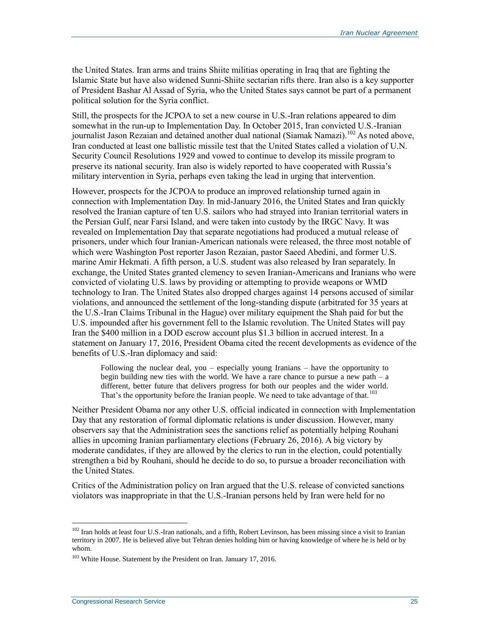the United States. Iran arms and trains Shiite militias operating in Iraq that are fighting the Islamic State but have also widened Sunni-Shiite sectarian rifts there. Iran also is a key supporter of President Bashar Al Assad of Syria, who the United States says cannot be part of a permanent political solution for the Syria conflict.

Still, the prospects for the JCPOA to set a new course in U.S.-Iran relations appeared to dim somewhat in the run-up to Implementation Day. In October 2015, Iran convicted U.S.-Iranian journalist Jason Rezaian and detained another dual national (Siamak Namazi).<sup>102</sup> As noted above, Iran conducted at least one ballistic missile test that the United States called a violation of U.N. Security Council Resolutions 1929 and vowed to continue to develop its missile program to preserve its national security. Iran also is widely reported to have cooperated with Russia's military intervention in Syria, perhaps even taking the lead in urging that intervention.

However, prospects for the JCPOA to produce an improved relationship turned again in connection with Implementation Day. In mid-January 2016, the United States and Iran quickly resolved the Iranian capture of ten U.S. sailors who had strayed into Iranian territorial waters in the Persian Gulf, near Farsi Island, and were taken into custody by the IRGC Navy. It was revealed on Implementation Day that separate negotiations had produced a mutual release of prisoners, under which four Iranian-American nationals were released, the three most notable of which were Washington Post reporter Jason Rezaian, pastor Saeed Abedini, and former U.S. marine Amir Hekmati. A fifth person, a U.S. student was also released by Iran separately. In exchange, the United States granted clemency to seven Iranian-Americans and Iranians who were convicted of violating U.S. laws by providing or attempting to provide weapons or WMD technology to Iran. The United States also dropped charges against 14 persons accused of similar violations, and announced the settlement of the long-standing dispute (arbitrated for 35 years at the U.S.-Iran Claims Tribunal in the Hague) over military equipment the Shah paid for but the U.S. impounded after his government fell to the Islamic revolution. The United States will pay Iran the \$400 million in a DOD escrow account plus \$1.3 billion in accrued interest. In a statement on January 17, 2016, President Obama cited the recent developments as evidence of the benefits of U.S.-Iran diplomacy and said:

Following the nuclear deal, you – especially young Iranians – have the opportunity to begin building new ties with the world. We have a rare chance to pursue a new path – a different, better future that delivers progress for both our peoples and the wider world. That's the opportunity before the Iranian people. We need to take advantage of that.<sup>103</sup>

Neither President Obama nor any other U.S. official indicated in connection with Implementation Day that any restoration of formal diplomatic relations is under discussion. However, many observers say that the Administration sees the sanctions relief as potentially helping Rouhani allies in upcoming Iranian parliamentary elections (February 26, 2016). A big victory by moderate candidates, if they are allowed by the clerics to run in the election, could potentially strengthen a bid by Rouhani, should he decide to do so, to pursue a broader reconciliation with the United States.

Critics of the Administration policy on Iran argued that the U.S. release of convicted sanctions violators was inappropriate in that the U.S.-Iranian persons held by Iran were held for no

<sup>&</sup>lt;sup>102</sup> Iran holds at least four U.S.-Iran nationals, and a fifth, Robert Levinson, has been missing since a visit to Iranian territory in 2007. He is believed alive but Tehran denies holding him or having knowledge of where he is held or by whom.

<sup>&</sup>lt;sup>103</sup> White House. Statement by the President on Iran. January 17, 2016.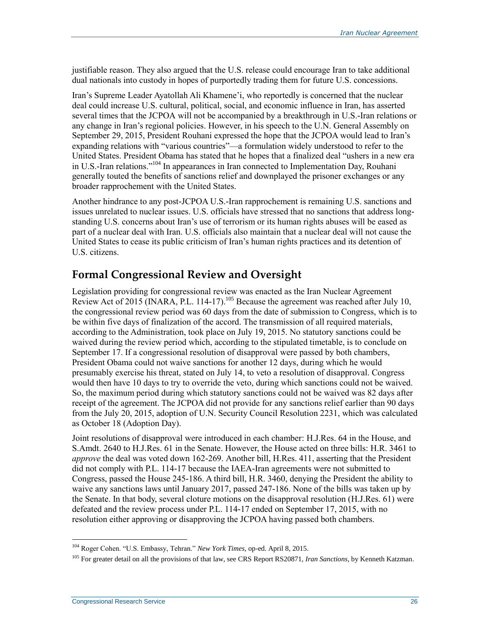justifiable reason. They also argued that the U.S. release could encourage Iran to take additional dual nationals into custody in hopes of purportedly trading them for future U.S. concessions.

Iran's Supreme Leader Ayatollah Ali Khamene'i, who reportedly is concerned that the nuclear deal could increase U.S. cultural, political, social, and economic influence in Iran, has asserted several times that the JCPOA will not be accompanied by a breakthrough in U.S.-Iran relations or any change in Iran's regional policies. However, in his speech to the U.N. General Assembly on September 29, 2015, President Rouhani expressed the hope that the JCPOA would lead to Iran's expanding relations with "various countries"—a formulation widely understood to refer to the United States. President Obama has stated that he hopes that a finalized deal "ushers in a new era in U.S.-Iran relations."<sup>104</sup> In appearances in Iran connected to Implementation Day, Rouhani generally touted the benefits of sanctions relief and downplayed the prisoner exchanges or any broader rapprochement with the United States.

Another hindrance to any post-JCPOA U.S.-Iran rapprochement is remaining U.S. sanctions and issues unrelated to nuclear issues. U.S. officials have stressed that no sanctions that address longstanding U.S. concerns about Iran's use of terrorism or its human rights abuses will be eased as part of a nuclear deal with Iran. U.S. officials also maintain that a nuclear deal will not cause the United States to cease its public criticism of Iran's human rights practices and its detention of U.S. citizens.

## **Formal Congressional Review and Oversight**

Legislation providing for congressional review was enacted as the Iran Nuclear Agreement Review Act of 2015 (INARA, P.L. 114-17).<sup>105</sup> Because the agreement was reached after July 10, the congressional review period was 60 days from the date of submission to Congress, which is to be within five days of finalization of the accord. The transmission of all required materials, according to the Administration, took place on July 19, 2015. No statutory sanctions could be waived during the review period which, according to the stipulated timetable, is to conclude on September 17. If a congressional resolution of disapproval were passed by both chambers, President Obama could not waive sanctions for another 12 days, during which he would presumably exercise his threat, stated on July 14, to veto a resolution of disapproval. Congress would then have 10 days to try to override the veto, during which sanctions could not be waived. So, the maximum period during which statutory sanctions could not be waived was 82 days after receipt of the agreement. The JCPOA did not provide for any sanctions relief earlier than 90 days from the July 20, 2015, adoption of U.N. Security Council Resolution 2231, which was calculated as October 18 (Adoption Day).

Joint resolutions of disapproval were introduced in each chamber: H.J.Res. 64 in the House, and S.Amdt. 2640 to H.J.Res. 61 in the Senate. However, the House acted on three bills: H.R. 3461 to *approve* the deal was voted down 162-269. Another bill, H.Res. 411, asserting that the President did not comply with P.L. 114-17 because the IAEA-Iran agreements were not submitted to Congress, passed the House 245-186. A third bill, H.R. 3460, denying the President the ability to waive any sanctions laws until January 2017, passed 247-186. None of the bills was taken up by the Senate. In that body, several cloture motions on the disapproval resolution (H.J.Res. 61) were defeated and the review process under P.L. 114-17 ended on September 17, 2015, with no resolution either approving or disapproving the JCPOA having passed both chambers.

<sup>104</sup> Roger Cohen. "U.S. Embassy, Tehran." *New York Times*, op-ed. April 8, 2015.

<sup>105</sup> For greater detail on all the provisions of that law, see CRS Report RS20871, *Iran Sanctions*, by Kenneth Katzman.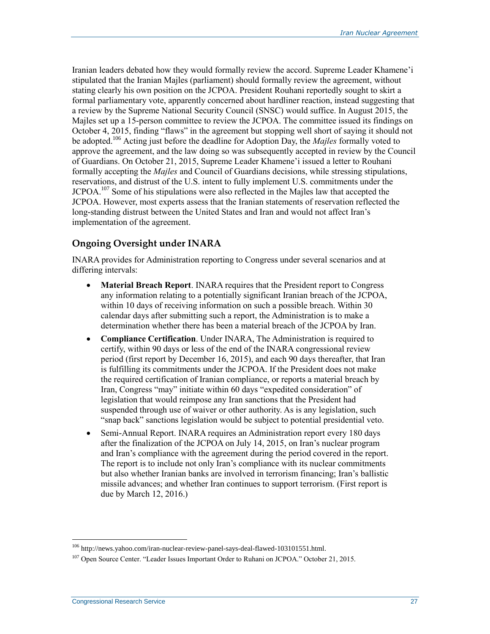Iranian leaders debated how they would formally review the accord. Supreme Leader Khamene'i stipulated that the Iranian Majles (parliament) should formally review the agreement, without stating clearly his own position on the JCPOA. President Rouhani reportedly sought to skirt a formal parliamentary vote, apparently concerned about hardliner reaction, instead suggesting that a review by the Supreme National Security Council (SNSC) would suffice. In August 2015, the Majles set up a 15-person committee to review the JCPOA. The committee issued its findings on October 4, 2015, finding "flaws" in the agreement but stopping well short of saying it should not be adopted.<sup>106</sup> Acting just before the deadline for Adoption Day, the *Majles* formally voted to approve the agreement, and the law doing so was subsequently accepted in review by the Council of Guardians. On October 21, 2015, Supreme Leader Khamene'i issued a letter to Rouhani formally accepting the *Majles* and Council of Guardians decisions, while stressing stipulations, reservations, and distrust of the U.S. intent to fully implement U.S. commitments under the JCPOA.<sup>107</sup> Some of his stipulations were also reflected in the Majles law that accepted the JCPOA. However, most experts assess that the Iranian statements of reservation reflected the long-standing distrust between the United States and Iran and would not affect Iran's implementation of the agreement.

#### **Ongoing Oversight under INARA**

INARA provides for Administration reporting to Congress under several scenarios and at differing intervals:

- **Material Breach Report**. INARA requires that the President report to Congress any information relating to a potentially significant Iranian breach of the JCPOA, within 10 days of receiving information on such a possible breach. Within 30 calendar days after submitting such a report, the Administration is to make a determination whether there has been a material breach of the JCPOA by Iran.
- **Compliance Certification**. Under INARA, The Administration is required to certify, within 90 days or less of the end of the INARA congressional review period (first report by December 16, 2015), and each 90 days thereafter, that Iran is fulfilling its commitments under the JCPOA. If the President does not make the required certification of Iranian compliance, or reports a material breach by Iran, Congress "may" initiate within 60 days "expedited consideration" of legislation that would reimpose any Iran sanctions that the President had suspended through use of waiver or other authority. As is any legislation, such "snap back" sanctions legislation would be subject to potential presidential veto.
- Semi-Annual Report. INARA requires an Administration report every 180 days after the finalization of the JCPOA on July 14, 2015, on Iran's nuclear program and Iran's compliance with the agreement during the period covered in the report. The report is to include not only Iran's compliance with its nuclear commitments but also whether Iranian banks are involved in terrorism financing; Iran's ballistic missile advances; and whether Iran continues to support terrorism. (First report is due by March 12, 2016.)

<sup>106</sup> http://news.yahoo.com/iran-nuclear-review-panel-says-deal-flawed-103101551.html.

<sup>&</sup>lt;sup>107</sup> Open Source Center. "Leader Issues Important Order to Ruhani on JCPOA." October 21, 2015.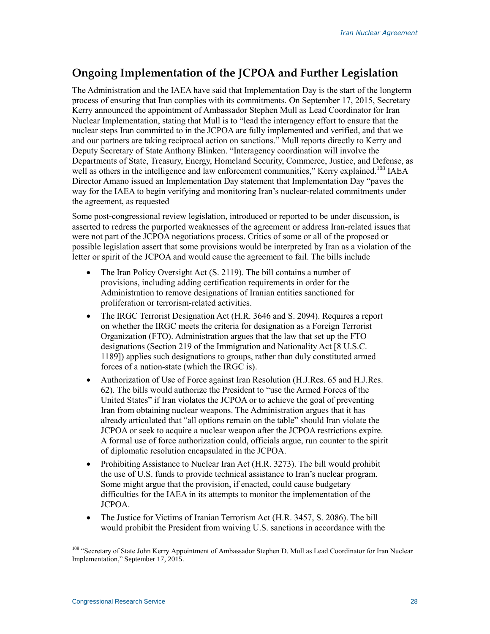## **Ongoing Implementation of the JCPOA and Further Legislation**

The Administration and the IAEA have said that Implementation Day is the start of the longterm process of ensuring that Iran complies with its commitments. On September 17, 2015, Secretary Kerry announced the appointment of Ambassador Stephen Mull as Lead Coordinator for Iran Nuclear Implementation, stating that Mull is to "lead the interagency effort to ensure that the nuclear steps Iran committed to in the JCPOA are fully implemented and verified, and that we and our partners are taking reciprocal action on sanctions." Mull reports directly to Kerry and Deputy Secretary of State Anthony Blinken. "Interagency coordination will involve the Departments of State, Treasury, Energy, Homeland Security, Commerce, Justice, and Defense, as well as others in the intelligence and law enforcement communities," Kerry explained.<sup>108</sup> IAEA Director Amano issued an Implementation Day statement that Implementation Day "paves the way for the IAEA to begin verifying and monitoring Iran's nuclear-related commitments under the agreement, as requested

Some post-congressional review legislation, introduced or reported to be under discussion, is asserted to redress the purported weaknesses of the agreement or address Iran-related issues that were not part of the JCPOA negotiations process. Critics of some or all of the proposed or possible legislation assert that some provisions would be interpreted by Iran as a violation of the letter or spirit of the JCPOA and would cause the agreement to fail. The bills include

- The Iran Policy Oversight Act (S. 2119). The bill contains a number of provisions, including adding certification requirements in order for the Administration to remove designations of Iranian entities sanctioned for proliferation or terrorism-related activities.
- The IRGC Terrorist Designation Act (H.R. 3646 and S. 2094). Requires a report on whether the IRGC meets the criteria for designation as a Foreign Terrorist Organization (FTO). Administration argues that the law that set up the FTO designations (Section 219 of the Immigration and Nationality Act [8 U.S.C. 1189]) applies such designations to groups, rather than duly constituted armed forces of a nation-state (which the IRGC is).
- Authorization of Use of Force against Iran Resolution (H.J.Res. 65 and H.J.Res. 62). The bills would authorize the President to "use the Armed Forces of the United States" if Iran violates the JCPOA or to achieve the goal of preventing Iran from obtaining nuclear weapons. The Administration argues that it has already articulated that "all options remain on the table" should Iran violate the JCPOA or seek to acquire a nuclear weapon after the JCPOA restrictions expire. A formal use of force authorization could, officials argue, run counter to the spirit of diplomatic resolution encapsulated in the JCPOA.
- Prohibiting Assistance to Nuclear Iran Act (H.R. 3273). The bill would prohibit the use of U.S. funds to provide technical assistance to Iran's nuclear program. Some might argue that the provision, if enacted, could cause budgetary difficulties for the IAEA in its attempts to monitor the implementation of the JCPOA.
- The Justice for Victims of Iranian Terrorism Act (H.R. 3457, S. 2086). The bill would prohibit the President from waiving U.S. sanctions in accordance with the

<sup>&</sup>lt;sup>108</sup> "Secretary of State John Kerry Appointment of Ambassador Stephen D. Mull as Lead Coordinator for Iran Nuclear Implementation," September 17, 2015.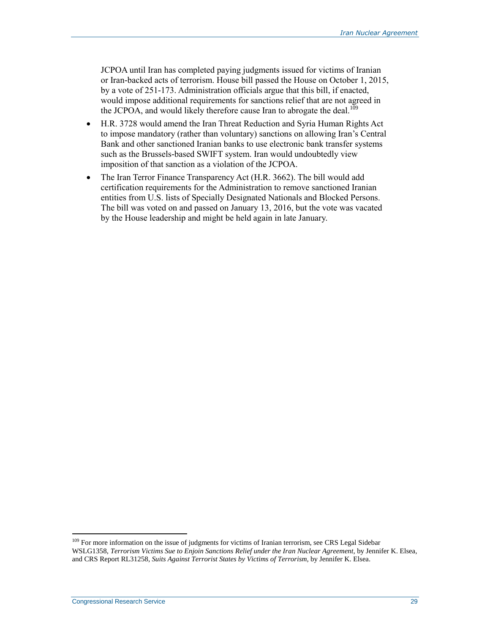JCPOA until Iran has completed paying judgments issued for victims of Iranian or Iran-backed acts of terrorism. House bill passed the House on October 1, 2015, by a vote of 251-173. Administration officials argue that this bill, if enacted, would impose additional requirements for sanctions relief that are not agreed in the JCPOA, and would likely therefore cause Iran to abrogate the deal.<sup>109</sup>

- H.R. 3728 would amend the Iran Threat Reduction and Syria Human Rights Act to impose mandatory (rather than voluntary) sanctions on allowing Iran's Central Bank and other sanctioned Iranian banks to use electronic bank transfer systems such as the Brussels-based SWIFT system. Iran would undoubtedly view imposition of that sanction as a violation of the JCPOA.
- The Iran Terror Finance Transparency Act (H.R. 3662). The bill would add certification requirements for the Administration to remove sanctioned Iranian entities from U.S. lists of Specially Designated Nationals and Blocked Persons. The bill was voted on and passed on January 13, 2016, but the vote was vacated by the House leadership and might be held again in late January.

<sup>&</sup>lt;sup>109</sup> For more information on the issue of judgments for victims of Iranian terrorism, see CRS Legal Sidebar WSLG1358, *Terrorism Victims Sue to Enjoin Sanctions Relief under the Iran Nuclear Agreement*, by Jennifer K. Elsea, and CRS Report RL31258, *Suits Against Terrorist States by Victims of Terrorism*, by Jennifer K. Elsea.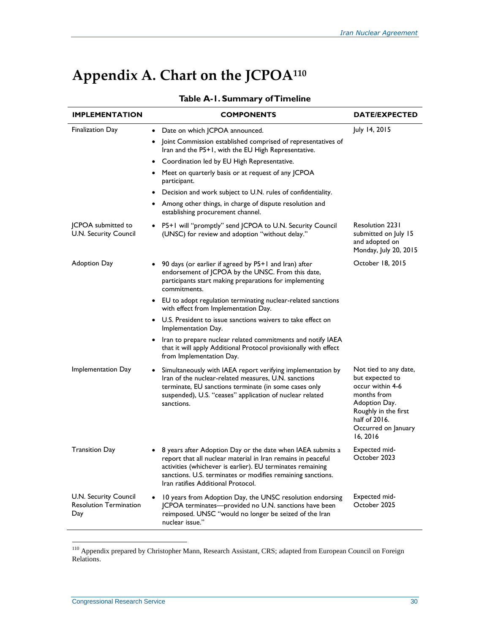## **Appendix A. Chart on the JCPOA<sup>110</sup>**

| <b>IMPLEMENTATION</b>                                         | <b>COMPONENTS</b>                                                                                                                                                                                                                                                                             | <b>DATE/EXPECTED</b>                                                                                                                                                     |
|---------------------------------------------------------------|-----------------------------------------------------------------------------------------------------------------------------------------------------------------------------------------------------------------------------------------------------------------------------------------------|--------------------------------------------------------------------------------------------------------------------------------------------------------------------------|
| <b>Finalization Day</b>                                       | Date on which JCPOA announced.<br>$\bullet$                                                                                                                                                                                                                                                   | July 14, 2015                                                                                                                                                            |
|                                                               | Joint Commission established comprised of representatives of<br>Iran and the P5+1, with the EU High Representative.                                                                                                                                                                           |                                                                                                                                                                          |
|                                                               | Coordination led by EU High Representative.                                                                                                                                                                                                                                                   |                                                                                                                                                                          |
|                                                               | Meet on quarterly basis or at request of any JCPOA<br>participant.                                                                                                                                                                                                                            |                                                                                                                                                                          |
|                                                               | Decision and work subject to U.N. rules of confidentiality.<br>٠                                                                                                                                                                                                                              |                                                                                                                                                                          |
|                                                               | Among other things, in charge of dispute resolution and<br>establishing procurement channel.                                                                                                                                                                                                  |                                                                                                                                                                          |
| JCPOA submitted to<br>U.N. Security Council                   | P5+1 will "promptly" send JCPOA to U.N. Security Council<br>(UNSC) for review and adoption "without delay."                                                                                                                                                                                   | <b>Resolution 2231</b><br>submitted on July 15<br>and adopted on<br>Monday, July 20, 2015                                                                                |
| <b>Adoption Day</b>                                           | 90 days (or earlier if agreed by P5+1 and Iran) after<br>endorsement of JCPOA by the UNSC. From this date,<br>participants start making preparations for implementing<br>commitments.                                                                                                         | October 18, 2015                                                                                                                                                         |
|                                                               | EU to adopt regulation terminating nuclear-related sanctions<br>with effect from Implementation Day.                                                                                                                                                                                          |                                                                                                                                                                          |
|                                                               | U.S. President to issue sanctions waivers to take effect on<br>Implementation Day.                                                                                                                                                                                                            |                                                                                                                                                                          |
|                                                               | Iran to prepare nuclear related commitments and notify IAEA<br>that it will apply Additional Protocol provisionally with effect<br>from Implementation Day.                                                                                                                                   |                                                                                                                                                                          |
| Implementation Day                                            | Simultaneously with IAEA report verifying implementation by<br>Iran of the nuclear-related measures, U.N. sanctions<br>terminate, EU sanctions terminate (in some cases only<br>suspended), U.S. "ceases" application of nuclear related<br>sanctions.                                        | Not tied to any date,<br>but expected to<br>occur within 4-6<br>months from<br>Adoption Day.<br>Roughly in the first<br>half of 2016.<br>Occurred on January<br>16, 2016 |
| <b>Transition Day</b>                                         | 8 years after Adoption Day or the date when IAEA submits a<br>report that all nuclear material in Iran remains in peaceful<br>activities (whichever is earlier). EU terminates remaining<br>sanctions. U.S. terminates or modifies remaining sanctions.<br>Iran ratifies Additional Protocol. | Expected mid-<br>October 2023                                                                                                                                            |
| U.N. Security Council<br><b>Resolution Termination</b><br>Day | 10 years from Adoption Day, the UNSC resolution endorsing<br>JCPOA terminates-provided no U.N. sanctions have been<br>reimposed. UNSC "would no longer be seized of the Iran<br>nuclear issue."                                                                                               | Expected mid-<br>October 2025                                                                                                                                            |

#### **Table A-1. Summary of Timeline**

<sup>&</sup>lt;sup>110</sup> Appendix prepared by Christopher Mann, Research Assistant, CRS; adapted from European Council on Foreign Relations.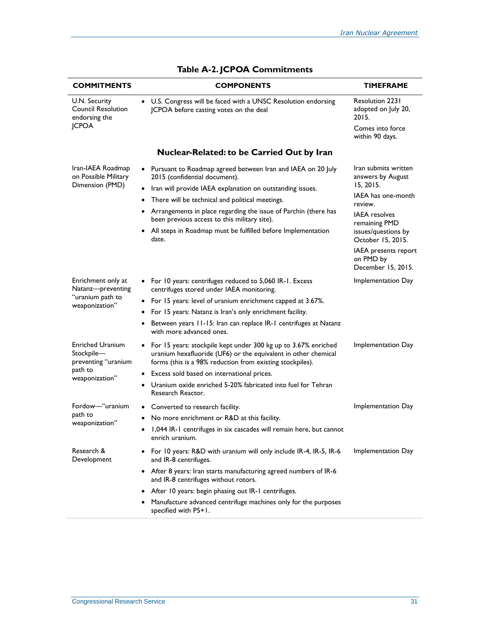| <b>COMMITMENTS</b>                                                                                     | <b>COMPONENTS</b>                                                                                                                                                                               | <b>TIMEFRAME</b>                                        |
|--------------------------------------------------------------------------------------------------------|-------------------------------------------------------------------------------------------------------------------------------------------------------------------------------------------------|---------------------------------------------------------|
| U.N. Security<br><b>Council Resolution</b><br>endorsing the<br><b>JCPOA</b>                            | • U.S. Congress will be faced with a UNSC Resolution endorsing<br>JCPOA before casting votes on the deal                                                                                        | <b>Resolution 2231</b><br>adopted on July 20,<br>2015.  |
|                                                                                                        |                                                                                                                                                                                                 | Comes into force<br>within 90 days.                     |
|                                                                                                        | Nuclear-Related: to be Carried Out by Iran                                                                                                                                                      |                                                         |
| Iran-IAEA Roadmap<br>on Possible Military                                                              | • Pursuant to Roadmap agreed between Iran and IAEA on 20 July<br>2015 (confidential document).                                                                                                  | Iran submits written<br>answers by August               |
| Dimension (PMD)                                                                                        | Iran will provide IAEA explanation on outstanding issues.<br>$\bullet$                                                                                                                          | 15, 2015.                                               |
|                                                                                                        | There will be technical and political meetings.<br>$\bullet$                                                                                                                                    | IAEA has one-month<br>review.                           |
|                                                                                                        | • Arrangements in place regarding the issue of Parchin (there has<br>been previous access to this military site).                                                                               | <b>IAEA</b> resolves<br>remaining PMD                   |
|                                                                                                        | All steps in Roadmap must be fulfilled before Implementation<br>date.                                                                                                                           | issues/questions by<br>October 15, 2015.                |
|                                                                                                        |                                                                                                                                                                                                 | IAEA presents report<br>on PMD by<br>December 15, 2015. |
| Enrichment only at<br>Natanz-preventing                                                                | For 10 years: centrifuges reduced to 5,060 IR-1. Excess<br>$\bullet$<br>centrifuges stored under IAEA monitoring.                                                                               | Implementation Day                                      |
| "uranium path to<br>weaponization"                                                                     | For 15 years: level of uranium enrichment capped at 3.67%.<br>$\bullet$                                                                                                                         |                                                         |
|                                                                                                        | For 15 years: Natanz is Iran's only enrichment facility.<br>$\bullet$                                                                                                                           |                                                         |
|                                                                                                        | Between years 11-15: Iran can replace IR-1 centrifuges at Natanz<br>with more advanced ones.                                                                                                    |                                                         |
| <b>Enriched Uranium</b><br>Stockpile-<br>preventing "uranium                                           | • For 15 years: stockpile kept under 300 kg up to 3.67% enriched<br>uranium hexafluoride (UF6) or the equivalent in other chemical<br>forms (this is a 98% reduction from existing stockpiles). | Implementation Day                                      |
| path to                                                                                                | • Excess sold based on international prices.                                                                                                                                                    |                                                         |
| weaponization"                                                                                         | Uranium oxide enriched 5-20% fabricated into fuel for Tehran<br>Research Reactor.                                                                                                               |                                                         |
| Fordow-"uranium<br>$\bullet$<br>path to<br>$\bullet$<br>weaponization"<br>$\bullet$<br>enrich uranium. | Converted to research facility.                                                                                                                                                                 | Implementation Day                                      |
|                                                                                                        | No more enrichment or R&D at this facility.                                                                                                                                                     |                                                         |
|                                                                                                        | 1,044 IR-1 centrifuges in six cascades will remain here, but cannot                                                                                                                             |                                                         |
| Research &<br>Development                                                                              | • For 10 years: R&D with uranium will only include IR-4, IR-5, IR-6<br>and IR-8 centrifuges.                                                                                                    | Implementation Day                                      |
|                                                                                                        | After 8 years: Iran starts manufacturing agreed numbers of IR-6<br>$\bullet$<br>and IR-8 centrifuges without rotors.                                                                            |                                                         |
|                                                                                                        | After 10 years: begin phasing out IR-1 centrifuges.<br>$\bullet$                                                                                                                                |                                                         |
|                                                                                                        | Manufacture advanced centrifuge machines only for the purposes<br>$\bullet$<br>specified with P5+1.                                                                                             |                                                         |

#### **Table A-2. JCPOA Commitments**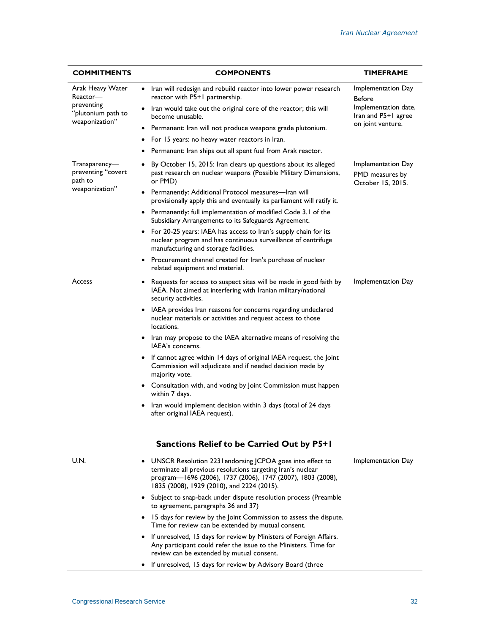| <b>COMMITMENTS</b>                             | <b>COMPONENTS</b>                                                                                                                                                                                                                       | <b>TIMEFRAME</b>                                           |
|------------------------------------------------|-----------------------------------------------------------------------------------------------------------------------------------------------------------------------------------------------------------------------------------------|------------------------------------------------------------|
| Arak Heavy Water<br>Reactor-<br>preventing     | • Iran will redesign and rebuild reactor into lower power research<br>reactor with P5+1 partnership.                                                                                                                                    | Implementation Day<br><b>Before</b>                        |
| "plutonium path to<br>weaponization"           | Iran would take out the original core of the reactor; this will<br>become unusable.                                                                                                                                                     | Implementation date,<br>Iran and P5+1 agree                |
|                                                | Permanent: Iran will not produce weapons grade plutonium.<br>٠                                                                                                                                                                          | on joint venture.                                          |
|                                                | For 15 years: no heavy water reactors in Iran.                                                                                                                                                                                          |                                                            |
|                                                | Permanent: Iran ships out all spent fuel from Arak reactor.<br>٠                                                                                                                                                                        |                                                            |
| Transparency-<br>preventing "covert<br>path to | By October 15, 2015: Iran clears up questions about its alleged<br>$\bullet$<br>past research on nuclear weapons (Possible Military Dimensions,<br>or PMD)                                                                              | Implementation Day<br>PMD measures by<br>October 15, 2015. |
| weaponization"                                 | Permanently: Additional Protocol measures-Iran will<br>$\bullet$<br>provisionally apply this and eventually its parliament will ratify it.                                                                                              |                                                            |
|                                                | • Permanently: full implementation of modified Code 3.1 of the<br>Subsidiary Arrangements to its Safeguards Agreement.                                                                                                                  |                                                            |
|                                                | • For 20-25 years: IAEA has access to Iran's supply chain for its<br>nuclear program and has continuous surveillance of centrifuge<br>manufacturing and storage facilities.                                                             |                                                            |
|                                                | • Procurement channel created for Iran's purchase of nuclear<br>related equipment and material.                                                                                                                                         |                                                            |
| Access                                         | Requests for access to suspect sites will be made in good faith by<br>٠<br>IAEA. Not aimed at interfering with Iranian military/national<br>security activities.                                                                        | Implementation Day                                         |
|                                                | IAEA provides Iran reasons for concerns regarding undeclared<br>nuclear materials or activities and request access to those<br>locations.                                                                                               |                                                            |
|                                                | • Iran may propose to the IAEA alternative means of resolving the<br>IAEA's concerns.                                                                                                                                                   |                                                            |
|                                                | • If cannot agree within 14 days of original IAEA request, the Joint<br>Commission will adjudicate and if needed decision made by<br>majority vote.                                                                                     |                                                            |
|                                                | • Consultation with, and voting by Joint Commission must happen<br>within 7 days.                                                                                                                                                       |                                                            |
|                                                | Iran would implement decision within 3 days (total of 24 days<br>$\bullet$<br>after original IAEA request).                                                                                                                             |                                                            |
|                                                | <b>Sanctions Relief to be Carried Out by P5+1</b>                                                                                                                                                                                       |                                                            |
| U.N.                                           | • UNSCR Resolution 223 lendorsing JCPOA goes into effect to<br>terminate all previous resolutions targeting Iran's nuclear<br>program-1696 (2006), 1737 (2006), 1747 (2007), 1803 (2008),<br>1835 (2008), 1929 (2010), and 2224 (2015). | Implementation Day                                         |
|                                                | • Subject to snap-back under dispute resolution process (Preamble<br>to agreement, paragraphs 36 and 37)                                                                                                                                |                                                            |
|                                                | • 15 days for review by the Joint Commission to assess the dispute.<br>Time for review can be extended by mutual consent.                                                                                                               |                                                            |
|                                                | • If unresolved, 15 days for review by Ministers of Foreign Affairs.<br>Any participant could refer the issue to the Ministers. Time for<br>review can be extended by mutual consent.                                                   |                                                            |
|                                                | If unresolved, 15 days for review by Advisory Board (three                                                                                                                                                                              |                                                            |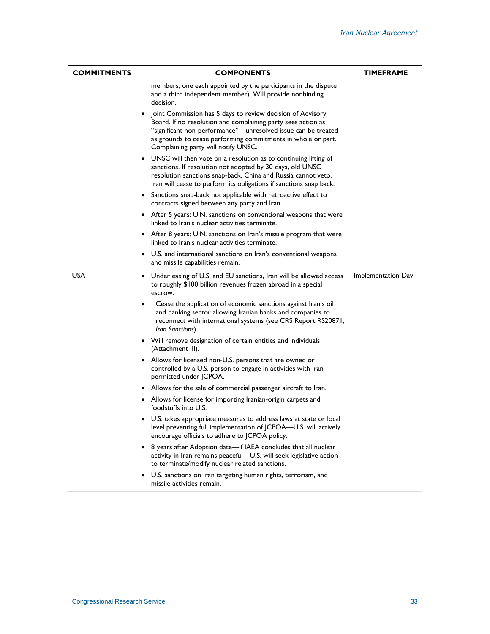| <b>COMMITMENTS</b> | <b>COMPONENTS</b>                                                                                                                                                                                                                                                                                    | <b>TIMEFRAME</b>   |
|--------------------|------------------------------------------------------------------------------------------------------------------------------------------------------------------------------------------------------------------------------------------------------------------------------------------------------|--------------------|
|                    | members, one each appointed by the participants in the dispute<br>and a third independent member). Will provide nonbinding<br>decision.                                                                                                                                                              |                    |
|                    | • Joint Commission has 5 days to review decision of Advisory<br>Board. If no resolution and complaining party sees action as<br>"significant non-performance"-unresolved issue can be treated<br>as grounds to cease performing commitments in whole or part.<br>Complaining party will notify UNSC. |                    |
|                    | • UNSC will then vote on a resolution as to continuing lifting of<br>sanctions. If resolution not adopted by 30 days, old UNSC<br>resolution sanctions snap-back. China and Russia cannot veto.<br>Iran will cease to perform its obligations if sanctions snap back.                                |                    |
|                    | • Sanctions snap-back not applicable with retroactive effect to<br>contracts signed between any party and Iran.                                                                                                                                                                                      |                    |
|                    | • After 5 years: U.N. sanctions on conventional weapons that were<br>linked to Iran's nuclear activities terminate.                                                                                                                                                                                  |                    |
|                    | • After 8 years: U.N. sanctions on Iran's missile program that were<br>linked to Iran's nuclear activities terminate.                                                                                                                                                                                |                    |
|                    | • U.S. and international sanctions on Iran's conventional weapons<br>and missile capabilities remain.                                                                                                                                                                                                |                    |
| <b>USA</b>         | Under easing of U.S. and EU sanctions, Iran will be allowed access<br>to roughly \$100 billion revenues frozen abroad in a special<br>escrow.                                                                                                                                                        | Implementation Day |
|                    | Cease the application of economic sanctions against Iran's oil<br>$\bullet$<br>and banking sector allowing Iranian banks and companies to<br>reconnect with international systems (see CRS Report RS20871,<br>Iran Sanctions).                                                                       |                    |
|                    | • Will remove designation of certain entities and individuals<br>(Attachment III).                                                                                                                                                                                                                   |                    |
|                    | • Allows for licensed non-U.S. persons that are owned or<br>controlled by a U.S. person to engage in activities with Iran<br>permitted under JCPOA.                                                                                                                                                  |                    |
|                    | Allows for the sale of commercial passenger aircraft to Iran.                                                                                                                                                                                                                                        |                    |
|                    | • Allows for license for importing Iranian-origin carpets and<br>foodstuffs into U.S.                                                                                                                                                                                                                |                    |
|                    | • U.S. takes appropriate measures to address laws at state or local<br>level preventing full implementation of JCPOA-U.S. will actively<br>encourage officials to adhere to JCPOA policy.                                                                                                            |                    |
|                    | • 8 years after Adoption date-if IAEA concludes that all nuclear<br>activity in Iran remains peaceful-U.S. will seek legislative action<br>to terminate/modify nuclear related sanctions.                                                                                                            |                    |
|                    | • U.S. sanctions on Iran targeting human rights, terrorism, and<br>missile activities remain.                                                                                                                                                                                                        |                    |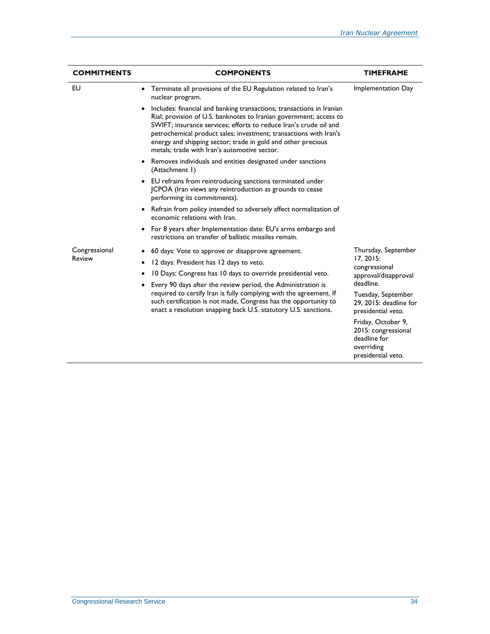| <b>COMMITMENTS</b>             | <b>COMPONENTS</b>                                                                                                                                                                                                                                                                                                                                                                                     | <b>TIMEFRAME</b>                                                                                                                                                |
|--------------------------------|-------------------------------------------------------------------------------------------------------------------------------------------------------------------------------------------------------------------------------------------------------------------------------------------------------------------------------------------------------------------------------------------------------|-----------------------------------------------------------------------------------------------------------------------------------------------------------------|
| EU                             | • Terminate all provisions of the EU Regulation related to Iran's<br>nuclear program.                                                                                                                                                                                                                                                                                                                 | Implementation Day                                                                                                                                              |
|                                | Includes: financial and banking transactions; transactions in Iranian<br>Rial; provision of U.S. banknotes to Iranian government; access to<br>SWIFT; insurance services; efforts to reduce Iran's crude oil and<br>petrochemical product sales; investment; transactions with Iran's<br>energy and shipping sector; trade in gold and other precious<br>metals; trade with Iran's automotive sector. |                                                                                                                                                                 |
|                                | Removes individuals and entities designated under sanctions<br>(Attachment I)                                                                                                                                                                                                                                                                                                                         |                                                                                                                                                                 |
|                                | EU refrains from reintroducing sanctions terminated under<br>JCPOA (Iran views any reintroduction as grounds to cease<br>performing its commitments).                                                                                                                                                                                                                                                 |                                                                                                                                                                 |
|                                | Refrain from policy intended to adversely affect normalization of<br>economic relations with Iran.                                                                                                                                                                                                                                                                                                    |                                                                                                                                                                 |
|                                | For 8 years after Implementation date: EU's arms embargo and<br>restrictions on transfer of ballistic missiles remain.                                                                                                                                                                                                                                                                                |                                                                                                                                                                 |
| Congressional<br><b>Review</b> | 60 days: Vote to approve or disapprove agreement.<br>12 days: President has 12 days to veto.<br>10 Days: Congress has 10 days to override presidential veto.<br>Every 90 days after the review period, the Administration is<br>$\bullet$                                                                                                                                                             | Thursday, September<br>$17, 2015$ :<br>congressional<br>approval/disapproval<br>deadline.<br>Tuesday, September<br>29, 2015: deadline for<br>presidential veto. |
|                                | required to certify Iran is fully complying with the agreement. If<br>such certification is not made, Congress has the opportunity to<br>enact a resolution snapping back U.S. statutory U.S. sanctions.                                                                                                                                                                                              |                                                                                                                                                                 |
|                                |                                                                                                                                                                                                                                                                                                                                                                                                       | Friday, October 9,<br>2015: congressional<br>deadline for<br>overriding<br>presidential veto.                                                                   |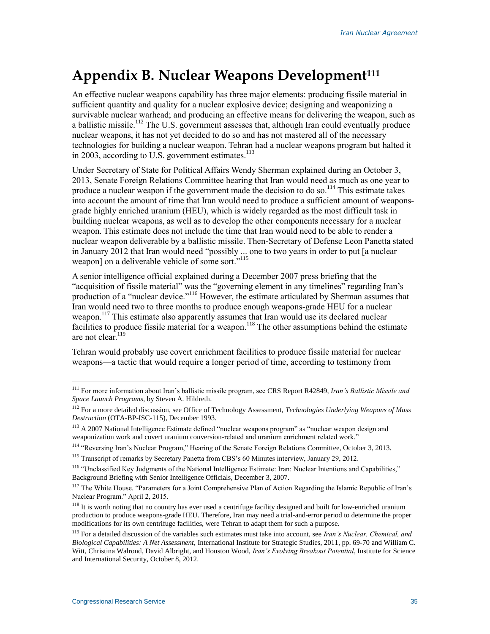## <span id="page-38-0"></span>**Appendix B. Nuclear Weapons Development<sup>111</sup>**

An effective nuclear weapons capability has three major elements: producing fissile material in sufficient quantity and quality for a nuclear explosive device; designing and weaponizing a survivable nuclear warhead; and producing an effective means for delivering the weapon, such as a ballistic missile.<sup>112</sup> The U.S. government assesses that, although Iran could eventually produce nuclear weapons, it has not yet decided to do so and has not mastered all of the necessary technologies for building a nuclear weapon. Tehran had a nuclear weapons program but halted it in 2003, according to U.S. government estimates. $113$ 

Under Secretary of State for Political Affairs Wendy Sherman explained during an October 3, 2013, Senate Foreign Relations Committee hearing that Iran would need as much as one year to produce a nuclear weapon if the government made the decision to do so.<sup>114</sup> This estimate takes into account the amount of time that Iran would need to produce a sufficient amount of weaponsgrade highly enriched uranium (HEU), which is widely regarded as the most difficult task in building nuclear weapons, as well as to develop the other components necessary for a nuclear weapon. This estimate does not include the time that Iran would need to be able to render a nuclear weapon deliverable by a ballistic missile. Then-Secretary of Defense Leon Panetta stated in January 2012 that Iran would need "possibly ... one to two years in order to put [a nuclear weapon] on a deliverable vehicle of some sort."<sup>115</sup>

A senior intelligence official explained during a December 2007 press briefing that the "acquisition of fissile material" was the "governing element in any timelines" regarding Iran's production of a "nuclear device."<sup>116</sup> However, the estimate articulated by Sherman assumes that Iran would need two to three months to produce enough weapons-grade HEU for a nuclear weapon.<sup>117</sup> This estimate also apparently assumes that Iran would use its declared nuclear facilities to produce fissile material for a weapon.<sup>118</sup> The other assumptions behind the estimate are not clear<sup> $119$ </sup>

Tehran would probably use covert enrichment facilities to produce fissile material for nuclear weapons—a tactic that would require a longer period of time, according to testimony from

 $\overline{a}$ <sup>111</sup> For more information about Iran's ballistic missile program, see CRS Report R42849, *Iran's Ballistic Missile and Space Launch Programs*, by Steven A. Hildreth.

<sup>112</sup> For a more detailed discussion, see Office of Technology Assessment, *Technologies Underlying Weapons of Mass Destruction* (OTA-BP-ISC-115), December 1993.

<sup>&</sup>lt;sup>113</sup> A 2007 National Intelligence Estimate defined "nuclear weapons program" as "nuclear weapon design and weaponization work and covert uranium conversion-related and uranium enrichment related work."

<sup>114</sup> "Reversing Iran's Nuclear Program," Hearing of the Senate Foreign Relations Committee, October 3, 2013.

<sup>&</sup>lt;sup>115</sup> Transcript of remarks by Secretary Panetta from CBS's 60 Minutes interview, January 29, 2012.

<sup>116</sup> "Unclassified Key Judgments of the National Intelligence Estimate: Iran: Nuclear Intentions and Capabilities," Background Briefing with Senior Intelligence Officials, December 3, 2007.

<sup>&</sup>lt;sup>117</sup> The White House. "Parameters for a Joint Comprehensive Plan of Action Regarding the Islamic Republic of Iran's Nuclear Program." April 2, 2015.

<sup>&</sup>lt;sup>118</sup> It is worth noting that no country has ever used a centrifuge facility designed and built for low-enriched uranium production to produce weapons-grade HEU. Therefore, Iran may need a trial-and-error period to determine the proper modifications for its own centrifuge facilities, were Tehran to adapt them for such a purpose.

<sup>119</sup> For a detailed discussion of the variables such estimates must take into account, see *Iran's Nuclear, Chemical, and Biological Capabilities: A Net Assessment*, International Institute for Strategic Studies, 2011, pp. 69-70 and William C. Witt, Christina Walrond, David Albright, and Houston Wood, *Iran's Evolving Breakout Potential*, Institute for Science and International Security, October 8, 2012.